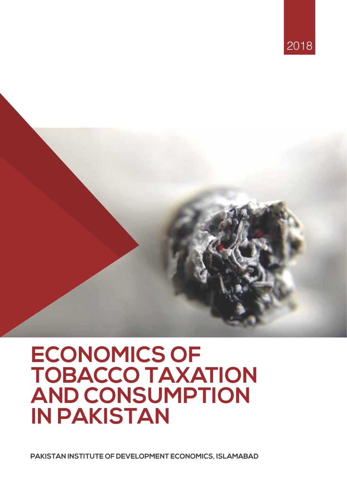

# **ECONOMICS OF TOBACCO TAXATION AND CONSUMPTION IN PAKISTAN**

**PAKISTAN INSTITUTE OF DEVELOPMENT ECONOMICS, ISLAMABAD**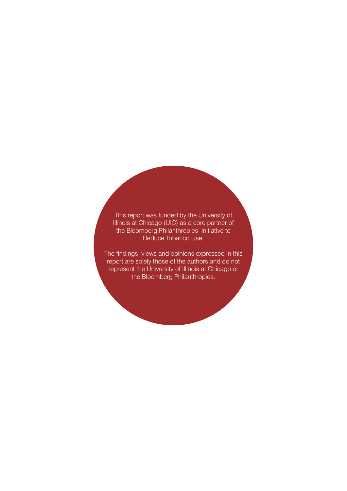This report was funded by the University of Illinois at Chicago (UIC) as a core partner of the Bloomberg Philanthropies' Initiative to Reduce Tobacco Use.

The findings, views and opinions expressed in this report are solely those of the authors and do not represent the University of Illinois at Chicago or the Bloomberg Philanthropies.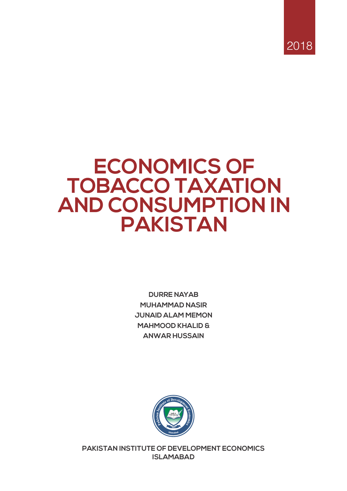

## **ECONOMICS OF TOBACCO TAXATION AND CONSUMPTION IN PAKISTAN**

**DURRE NAYAB MUHAMMAD NASIR JUNAID ALAM MEMON MAHMOOD KHALID & ANWAR HUSSAIN**



**PAKISTAN INSTITUTE OF DEVELOPMENT ECONOMICS ISLAMABAD**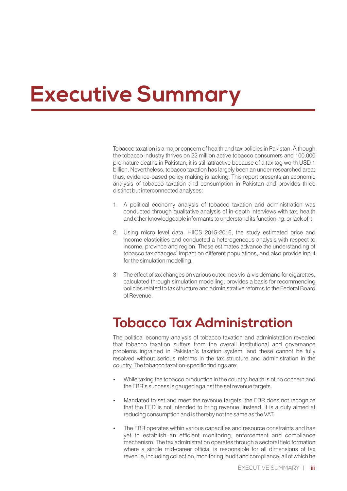# **Executive Summary**

Tobacco taxation is a major concern of health and tax policies in Pakistan. Although the tobacco industry thrives on 22 million active tobacco consumers and 100,000 premature deaths in Pakistan, it is still attractive because of a tax tag worth USD 1 billion. Nevertheless, tobacco taxation has largely been an under-researched area; thus, evidence-based policy making is lacking. This report presents an economic analysis of tobacco taxation and consumption in Pakistan and provides three distinct but interconnected analyses:

- 1. A political economy analysis of tobacco taxation and administration was conducted through qualitative analysis of in-depth interviews with tax, health and other knowledgeable informants to understand its functioning, or lack of it.
- 2. Using micro level data, HIICS 2015-2016, the study estimated price and income elasticities and conducted a heterogeneous analysis with respect to income, province and region. These estimates advance the understanding of tobacco tax changes' impact on different populations, and also provide input for the simulation modelling.
- 3. The effect of tax changes on various outcomes vis-à-vis demand for cigarettes, calculated through simulation modelling, provides a basis for recommending policies related to tax structure and administrative reforms to the Federal Board of Revenue.

## **Tobacco Tax Administration**

The political economy analysis of tobacco taxation and administration revealed that tobacco taxation suffers from the overall institutional and governance problems ingrained in Pakistan's taxation system, and these cannot be fully resolved without serious reforms in the tax structure and administration in the country. The tobacco taxation-specific findings are:

- While taxing the tobacco production in the country, health is of no concern and the FBR's success is gauged against the set revenue targets.
- Mandated to set and meet the revenue targets, the FBR does not recognize that the FED is not intended to bring revenue; instead, it is a duty aimed at reducing consumption and is thereby not the same as the VAT.
- The FBR operates within various capacities and resource constraints and has yet to establish an efficient monitoring, enforcement and compliance mechanism. The tax administration operates through a sectoral field formation where a single mid-career official is responsible for all dimensions of tax revenue, including collection, monitoring, audit and compliance, all of which he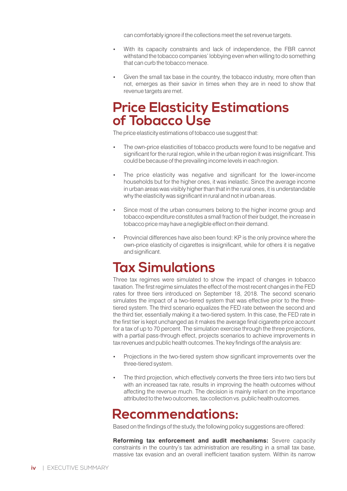can comfortably ignore if the collections meet the set revenue targets.

- With its capacity constraints and lack of independence, the FBR cannot withstand the tobacco companies' lobbying even when willing to do something that can curb the tobacco menace.
- Given the small tax base in the country, the tobacco industry, more often than not, emerges as their savior in times when they are in need to show that revenue targets are met.

### **Price Elasticity Estimations of Tobacco Use**

The price elasticity estimations of tobacco use suggest that:

- The own-price elasticities of tobacco products were found to be negative and significant for the rural region, while in the urban region it was insignificant. This could be because of the prevailing income levels in each region.
- The price elasticity was negative and significant for the lower-income households but for the higher ones, it was inelastic. Since the average income in urban areas was visibly higher than that in the rural ones, it is understandable why the elasticity was significant in rural and not in urban areas.
- Since most of the urban consumers belong to the higher income group and tobacco expenditure constitutes a small fraction of their budget, the increase in tobacco price may have a negligible effect on their demand.
- Provincial differences have also been found: KP is the only province where the own-price elasticity of cigarettes is insignificant, while for others it is negative and significant.

## **Tax Simulations**

Three tax regimes were simulated to show the impact of changes in tobacco taxation. The first regime simulates the effect of the most recent changes in the FED rates for three tiers introduced on September 18, 2018. The second scenario simulates the impact of a two-tiered system that was effective prior to the threetiered system. The third scenario equalizes the FED rate between the second and the third tier, essentially making it a two-tiered system. In this case, the FED rate in the first tier is kept unchanged as it makes the average final cigarette price account for a tax of up to 70 percent. The simulation exercise through the three projections, with a partial pass-through effect, projects scenarios to achieve improvements in tax revenues and public health outcomes. The key findings of the analysis are:

- Projections in the two-tiered system show significant improvements over the three-tiered system.
- The third projection, which effectively converts the three tiers into two tiers but with an increased tax rate, results in improving the health outcomes without affecting the revenue much. The decision is mainly reliant on the importance attributed to the two outcomes, tax collection vs. public health outcomes.

### **Recommendations:**

Based on the findings of the study, the following policy suggestions are offered:

**Reforming tax enforcement and audit mechanisms:** Severe capacity constraints in the country's tax administration are resulting in a small tax base, massive tax evasion and an overall inefficient taxation system. Within its narrow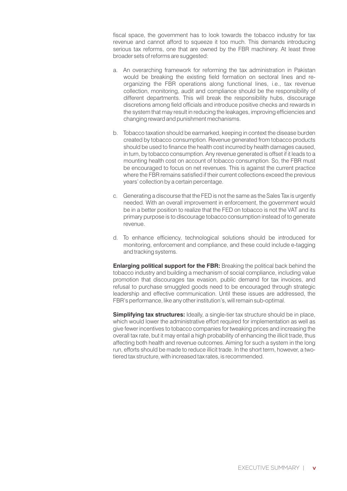fiscal space, the government has to look towards the tobacco industry for tax revenue and cannot afford to squeeze it too much. This demands introducing serious tax reforms, one that are owned by the FBR machinery. At least three broader sets of reforms are suggested:

- a. An overarching framework for reforming the tax administration in Pakistan would be breaking the existing field formation on sectoral lines and reorganizing the FBR operations along functional lines, i.e., tax revenue collection, monitoring, audit and compliance should be the responsibility of different departments. This will break the responsibility hubs, discourage discretions among field officials and introduce positive checks and rewards in the system that may result in reducing the leakages, improving efficiencies and changing reward and punishment mechanisms.
- b. Tobacco taxation should be earmarked, keeping in context the disease burden created by tobacco consumption. Revenue generated from tobacco products should be used to finance the health cost incurred by health damages caused, in turn, by tobacco consumption. Any revenue generated is offset if it leads to a mounting health cost on account of tobacco consumption. So, the FBR must be encouraged to focus on net revenues. This is against the current practice where the FBR remains satisfied if their current collections exceed the previous years' collection by a certain percentage.
- c. Generating a discourse that the FED is not the same as the Sales Tax is urgently needed. With an overall improvement in enforcement, the government would be in a better position to realize that the FED on tobacco is not the VAT and its primary purpose is to discourage tobacco consumption instead of to generate revenue.
- d. To enhance efficiency, technological solutions should be introduced for monitoring, enforcement and compliance, and these could include e-tagging and tracking systems.

**Enlarging political support for the FBR:** Breaking the political back behind the tobacco industry and building a mechanism of social compliance, including value promotion that discourages tax evasion, public demand for tax invoices, and refusal to purchase smuggled goods need to be encouraged through strategic leadership and effective communication. Until these issues are addressed, the FBR's performance, like any other institution's, will remain sub-optimal.

**Simplifying tax structures:** Ideally, a single-tier tax structure should be in place, which would lower the administrative effort required for implementation as well as give fewer incentives to tobacco companies for tweaking prices and increasing the overall tax rate, but it may entail a high probability of enhancing the illicit trade, thus affecting both health and revenue outcomes. Aiming for such a system in the long run, efforts should be made to reduce illicit trade. In the short term, however, a twotiered tax structure, with increased tax rates, is recommended.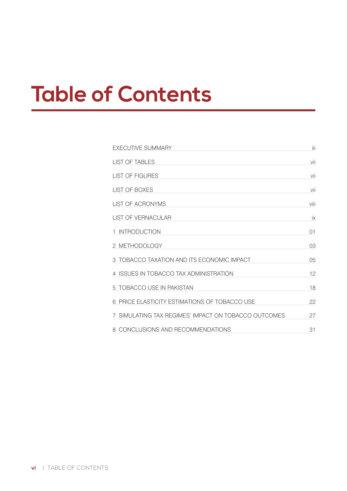# **Table of Contents**

| <b>EXECUTIVE SUMMARY</b>                             | Ш    |
|------------------------------------------------------|------|
| <b>LIST OF TABLES</b>                                | vii  |
| <b>LIST OF FIGURES</b>                               | vii  |
| LIST OF BOXES                                        | vii  |
| <b>LIST OF ACRONYMS</b>                              | viii |
| <b>LIST OF VERNACULAR</b>                            | iх   |
| 1 INTRODUCTION                                       | 01   |
| 2 METHODOLOGY                                        | 03   |
| 3 TOBACCO TAXATION AND ITS ECONOMIC IMPACT           | 05   |
| 4 ISSUES IN TOBACCO TAX ADMINISTRATION               | 12   |
| 5 TOBACCO USE IN PAKISTAN                            | 18   |
| 6 PRICE ELASTICITY ESTIMATIONS OF TOBACCO USE        | 22   |
| 7 SIMULATING TAX REGIMES' IMPACT ON TOBACCO OUTCOMES | 27   |
| 8 CONCLUSIONS AND RECOMMENDATIONS                    | 31   |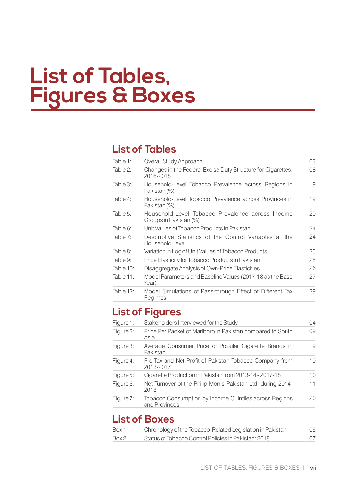# **List of Tables, Figures & Boxes**

### **List of Tables**

| Table 1:     | Overall Study Approach                                                     | 03 |
|--------------|----------------------------------------------------------------------------|----|
| Table 2:     | Changes in the Federal Excise Duty Structure for Cigarettes:<br>2016-2018  | 08 |
| Table 3:     | Household-Level Tobacco Prevalence across Regions in<br>Pakistan (%)       | 19 |
| Table 4:     | Household-Level Tobacco Prevalence across Provinces in<br>Pakistan (%)     | 19 |
| Table $5$ :  | Household-Level Tobacco Prevalence across Income<br>Groups in Pakistan (%) | 20 |
| Table 6:     | Unit Values of Tobacco Products in Pakistan                                | 24 |
| Table 7:     | Descriptive Statistics of the Control Variables at the<br>Household Level  | 24 |
| Table 8:     | Variation in Log of Unit Values of Tobacco Products                        | 25 |
| Table 9:     | Price Elasticity for Tobacco Products in Pakistan                          | 25 |
| Table 10:    | Disaggregate Analysis of Own-Price Elasticities                            | 26 |
| Table $11$ : | Model Parameters and Baseline Values (2017-18 as the Base<br>Year)         | 27 |
| Table 12:    | Model Simulations of Pass-through Effect of Different Tax<br>Regimes       | 29 |

### **List of Figures**

| Figure 1: | Stakeholders Interviewed for the Study                                  | 04 |
|-----------|-------------------------------------------------------------------------|----|
| Figure 2: | Price Per Packet of Marlboro in Pakistan compared to South<br>Asia      | 09 |
| Figure 3: | Average Consumer Price of Popular Cigarette Brands in<br>Pakistan       | 9  |
| Figure 4: | Pre-Tax and Net Profit of Pakistan Tobacco Company from<br>2013-2017    | 10 |
| Figure 5: | Cigarette Production in Pakistan from 2013-14 - 2017-18                 | 10 |
| Figure 6: | Net Turnover of the Philip Morris Pakistan Ltd. during 2014-<br>2018    | 11 |
| Figure 7: | Tobacco Consumption by Income Quintiles across Regions<br>and Provinces | 20 |

### **List of Boxes**

| Box 1: | Chronology of the Tobacco-Related Legislation in Pakistan | 05 |
|--------|-----------------------------------------------------------|----|
| Box 2: | Status of Tobacco Control Policies in Pakistan: 2018      | 07 |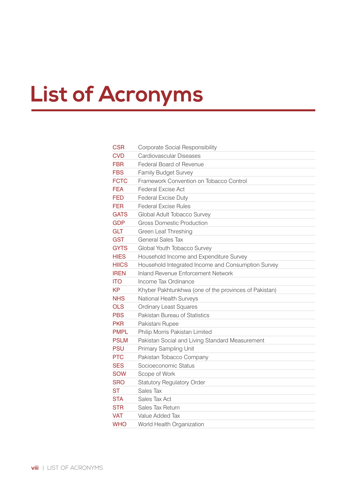# **List of Acronyms**

| CSR          | Corporate Social Responsibility                       |
|--------------|-------------------------------------------------------|
| <b>CVD</b>   | Cardiovascular Diseases                               |
| <b>FBR</b>   | Federal Board of Revenue                              |
| <b>FBS</b>   | <b>Family Budget Survey</b>                           |
| <b>FCTC</b>  | Framework Convention on Tobacco Control               |
| <b>FEA</b>   | <b>Federal Excise Act</b>                             |
| <b>FED</b>   | <b>Federal Excise Duty</b>                            |
| FER          | <b>Federal Excise Rules</b>                           |
| <b>GATS</b>  | Global Adult Tobacco Survey                           |
| <b>GDP</b>   | <b>Gross Domestic Production</b>                      |
| <b>GLT</b>   | Green Leaf Threshing                                  |
| GST          | General Sales Tax                                     |
| <b>GYTS</b>  | Global Youth Tobacco Survey                           |
| <b>HIES</b>  | Household Income and Expenditure Survey               |
| <b>HIICS</b> | Household Integrated Income and Consumption Survey    |
| <b>IREN</b>  | <b>Inland Revenue Enforcement Network</b>             |
| <b>ITO</b>   | Income Tax Ordinance                                  |
| <b>KP</b>    | Khyber Pakhtunkhwa (one of the provinces of Pakistan) |
| <b>NHS</b>   | National Health Surveys                               |
| <b>OLS</b>   | <b>Ordinary Least Squares</b>                         |
| <b>PBS</b>   | Pakistan Bureau of Statistics                         |
| <b>PKR</b>   | Pakistani Rupee                                       |
| <b>PMPL</b>  | Philip Morris Pakistan Limited                        |
| <b>PSLM</b>  | Pakistan Social and Living Standard Measurement       |
| <b>PSU</b>   | Primary Sampling Unit                                 |
| <b>PTC</b>   | Pakistan Tobacco Company                              |
| <b>SES</b>   | Socioeconomic Status                                  |
| <b>SOW</b>   | Scope of Work                                         |
| <b>SRO</b>   | <b>Statutory Regulatory Order</b>                     |
| <b>ST</b>    | Sales Tax                                             |
| <b>STA</b>   | Sales Tax Act                                         |
| <b>STR</b>   | Sales Tax Return                                      |
| VAT          | Value Added Tax                                       |
| WHO          | World Health Organization                             |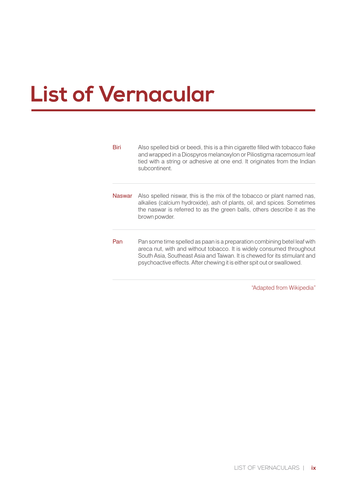# **List of Vernacular**

| Biri   | Also spelled bidi or beedi, this is a thin cigarette filled with tobacco flake<br>and wrapped in a Diospyros melanoxylon or Piliostigma racemosum leaf<br>tied with a string or adhesive at one end. It originates from the Indian<br>subcontinent.                                                       |
|--------|-----------------------------------------------------------------------------------------------------------------------------------------------------------------------------------------------------------------------------------------------------------------------------------------------------------|
| Naswar | Also spelled niswar, this is the mix of the tobacco or plant named nas,<br>alkalies (calcium hydroxide), ash of plants, oil, and spices. Sometimes<br>the naswar is referred to as the green balls, others describe it as the<br>brown powder.                                                            |
| Pan    | Pan some time spelled as paan is a preparation combining betel leaf with<br>areca nut, with and without tobacco. It is widely consumed throughout<br>South Asia, Southeast Asia and Taiwan. It is chewed for its stimulant and<br>psychoactive effects. After chewing it is either spit out or swallowed. |

"Adapted from Wikipedia"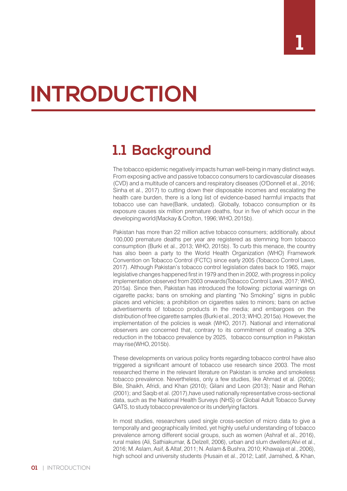# **INTRODUCTION**

## **1.1 Background**

The tobacco epidemic negatively impacts human well-being in many distinct ways. From exposing active and passive tobacco consumers to cardiovascular diseases (CVD) and a multitude of cancers and respiratory diseases (O'Donnell et al., 2016; Sinha et al., 2017) to cutting down their disposable incomes and escalating the health care burden, there is a long list of evidence-based harmful impacts that tobacco use can have(Bank, undated). Globally, tobacco consumption or its exposure causes six million premature deaths, four in five of which occur in the developing world(Mackay & Crofton, 1996; WHO, 2015b).

Pakistan has more than 22 million active tobacco consumers; additionally, about 100,000 premature deaths per year are registered as stemming from tobacco consumption (Burki et al., 2013; WHO, 2015b). To curb this menace, the country has also been a party to the World Health Organization (WHO) Framework Convention on Tobacco Control (FCTC) since early 2005 (Tobacco Control Laws, 2017). Although Pakistan's tobacco control legislation dates back to 1965, major legislative changes happened first in 1979 and then in 2002, with progress in policy implementation observed from 2003 onwards(Tobacco Control Laws, 2017; WHO, 2015a). Since then, Pakistan has introduced the following: pictorial warnings on cigarette packs; bans on smoking and planting "No Smoking" signs in public places and vehicles; a prohibition on cigarettes sales to minors; bans on active advertisements of tobacco products in the media; and embargoes on the distribution of free cigarette samples (Burki et al., 2013; WHO, 2015a). However, the implementation of the policies is weak (WHO, 2017). National and international observers are concerned that, contrary to its commitment of creating a 30% reduction in the tobacco prevalence by 2025, tobacco consumption in Pakistan may rise(WHO, 2015b).

These developments on various policy fronts regarding tobacco control have also triggered a significant amount of tobacco use research since 2003. The most researched theme in the relevant literature on Pakistan is smoke and smokeless tobacco prevalence. Nevertheless, only a few studies, like Ahmad et al. (2005); Bile, Shaikh, Afridi, and Khan (2010); Gilani and Leon (2013); Nasir and Rehan (2001); and Saqib et al. (2017),have used nationally representative cross-sectional data, such as the National Health Surveys (NHS) or Global Adult Tobacco Survey GATS, to study tobacco prevalence or its underlying factors.

In most studies, researchers used single cross-section of micro data to give a temporally and geographically limited, yet highly useful understanding of tobacco prevalence among different social groups, such as women (Ashraf et al., 2016), rural males (Ali, Sathiakumar, & Delzell, 2006), urban and slum dwellers(Alvi et al., 2016; M. Aslam, Asif, & Altaf, 2011; N. Aslam & Bushra, 2010; Khawaja et al., 2006), high school and university students (Husain et al., 2012; Latif, Jamshed, & Khan,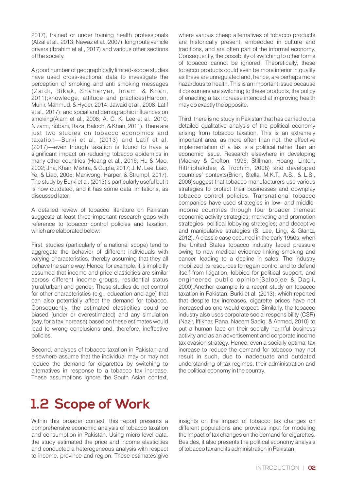2017), trained or under training health professionals (Afzal et al., 2013; Nawaz et al., 2007), long route vehicle drivers (Ibrahim et al., 2017) and various other sections of the society.

A good number of geographically limited-scope studies have used cross-sectional data to investigate the perception of smoking and anti smoking messages (Zaidi, Bikak, Shaheryar, Imam, & Khan, 2011);knowledge, attitude and practices(Haroon, Munir, Mahmud, & Hyder, 2014; Jawaid et al., 2008; Latif et al., 2017); and social and demographic influences on smoking(Alam et al., 2008; A. C. K. Lee et al., 2010; Nizami, Sobani, Raza, Baloch, & Khan, 2011). There are just two studies on tobacco economics and taxation—Burki et al. (2013) and Latif et al. (2017)—even though taxation is found to have a significant impact on reducing tobacco epidemics in many other countries (Hoang et al., 2016; Hu & Mao, 2002; Jha, Khan, Mishra, & Gupta, 2017; J. M. Lee, Liao, Ye, & Liao, 2005; Manivong, Harper, & Strumpf, 2017). The study by Burki et al. (2013)is particularly useful but it is now outdated, and it has some data limitations, as discussed later.

A detailed review of tobacco literature on Pakistan suggests at least three important research gaps with reference to tobacco control policies and taxation, which are elaborated below:

First, studies (particularly of a national scope) tend to aggregate the behavior of different individuals with varying characteristics, thereby assuming that they all behave the same way. Hence, for example, it is implicitly assumed that income and price elasticities are similar across different income groups, residential status (rural/urban) and gender. These studies do not control for other characteristics (e.g., education and age) that can also potentially affect the demand for tobacco. Consequently, the estimated elasticities could be biased (under or overestimated) and any simulation (say, for a tax increase) based on these estimates would lead to wrong conclusions and, therefore, ineffective policies.

Second, analyses of tobacco taxation in Pakistan and elsewhere assume that the individual may or may not reduce the demand for cigarettes by switching to alternatives in response to a tobacco tax increase. These assumptions ignore the South Asian context,

where various cheap alternatives of tobacco products are historically present, embedded in culture and traditions, and are often part of the informal economy. Consequently, the possibility of switching to other forms of tobacco cannot be ignored. Theoretically, these tobacco products could even be more inferior in quality as these are unregulated and, hence, are perhaps more hazardous to health. This is an important issue because if consumers are switching to these products, the policy of enacting a tax increase intended at improving health may do exactly the opposite.

Third, there is no study in Pakistan that has carried out a detailed qualitative analysis of the political economy arising from tobacco taxation. This is an extremely important area, as more often than not, the effective implementation of a tax is a political rather than an economic issue. Research elsewhere in developing (Mackay & Crofton, 1996; Stillman, Hoang, Linton, Ritthiphakdee, & Trochim, 2008) and developed countries' contexts(Brion, Stella, M.K.T., A.S., & L.S., 2006)suggest that tobacco manufacturers use various strategies to protect their businesses and downplay tobacco control policies. Transnational tobacco companies have used strategies in low- and middleincome countries through four broader themes: economic activity strategies; marketing and promotion strategies; political lobbying strategies; and deceptive and manipulative strategies (S. Lee, Ling, & Glantz, 2012). A classic case occurred in the early 1950s, when the United States tobacco industry faced pressure owing to new medical evidence linking smoking and cancer, leading to a decline in sales. The industry mobilized its resources to regain control and to defend itself from litigation, lobbied for political support, and engineered public opinion(Saloojee & Dagli, 2000).Another example is a recent study on tobacco taxation in Pakistan, Burki et al. (2013), which reported that despite tax increases, cigarette prices have not increased as one would expect. Similarly, the tobacco industry also uses corporate social responsibility (CSR) (Nazir, Iftikhar, Rana, Naeem Sadiq, & Ahmed, 2010) to put a human face on their socially harmful business activity and as an advertisement and corporate income tax evasion strategy. Hence, even a socially optimal tax increase to reduce the demand for tobacco may not result in such, due to inadequate and outdated understanding of tax regimes, their administration and the political economy in the country.

## **1.2 Scope of Work**

Within this broader context, this report presents a comprehensive economic analysis of tobacco taxation and consumption in Pakistan. Using micro level data, the study estimated the price and income elasticities and conducted a heterogeneous analysis with respect to income, province and region. These estimates give

insights on the impact of tobacco tax changes on different populations and provides input for modeling the impact of tax changes on the demand for cigarettes. Besides, it also presents the political economy analysis of tobacco tax and its administration in Pakistan.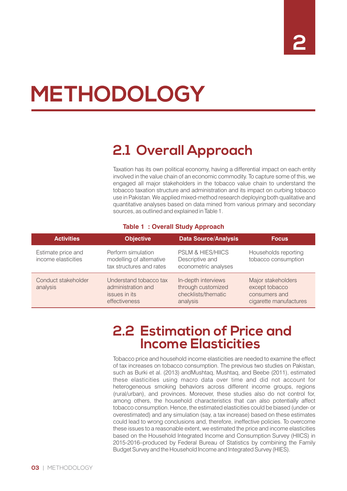# **METHODOLOGY**

## **2.1 Overall Approach**

Taxation has its own political economy, having a differential impact on each entity involved in the value chain of an economic commodity. To capture some of this, we engaged all major stakeholders in the tobacco value chain to understand the tobacco taxation structure and administration and its impact on curbing tobacco use in Pakistan. We applied mixed-method research deploying both qualitative and quantitative analyses based on data mined from various primary and secondary sources, as outlined and explained in Table 1.

#### **Table 1 : Overall Study Approach**

| <b>Activities</b>                         | <b>Objective</b>                                                               | <b>Data Source/Analysis</b>                                                  | <b>Focus</b>                                                                    |
|-------------------------------------------|--------------------------------------------------------------------------------|------------------------------------------------------------------------------|---------------------------------------------------------------------------------|
| Estimate price and<br>income elasticities | Perform simulation<br>modelling of alternative<br>tax structures and rates     | <b>PSLM &amp; HIES/HIICS</b><br>Descriptive and<br>econometric analyses      | Households reporting<br>tobacco consumption                                     |
| Conduct stakeholder<br>analysis           | Understand tobacco tax<br>administration and<br>issues in its<br>effectiveness | In-depth interviews<br>through customized<br>checklists/thematic<br>analysis | Major stakeholders<br>except tobacco<br>consumers and<br>cigarette manufactures |

### **2.2 Estimation of Price and Income Elasticities**

Tobacco price and household income elasticities are needed to examine the effect of tax increases on tobacco consumption. The previous two studies on Pakistan, such as Burki et al. (2013) andMushtaq, Mushtaq, and Beebe (2011), estimated these elasticities using macro data over time and did not account for heterogeneous smoking behaviors across different income groups, regions (rural/urban), and provinces. Moreover, these studies also do not control for, among others, the household characteristics that can also potentially affect tobacco consumption. Hence, the estimated elasticities could be biased (under- or overestimated) and any simulation (say, a tax increase) based on these estimates could lead to wrong conclusions and, therefore, ineffective policies. To overcome these issues to a reasonable extent, we estimated the price and income elasticities based on the Household Integrated Income and Consumption Survey (HIICS) in 2015-2016–produced by Federal Bureau of Statistics by combining the Family Budget Survey and the Household Income and Integrated Survey (HIES).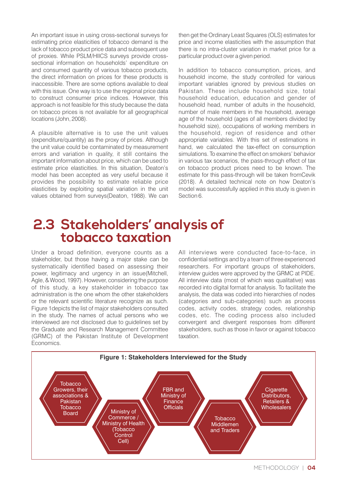An important issue in using cross-sectional surveys for estimating price elasticities of tobacco demand is the lack of tobacco product price data and subsequent use of proxies. While PSLM/HIICS surveys provide crosssectional information on households' expenditure on and consumed quantity of various tobacco products, the direct information on prices for these products is inaccessible. There are some options available to deal with this issue. One way is to use the regional price data to construct consumer price indices. However, this approach is not feasible for this study because the data on tobacco prices is not available for all geographical locations (John, 2008).

A plausible alternative is to use the unit values (expenditure/quantity) as the proxy of prices. Although the unit value could be contaminated by measurement errors and variation in quality, it still contains the important information about price, which can be used to estimate price elasticities. In this situation, Deaton's model has been accepted as very useful because it provides the possibility to estimate reliable price elasticities by exploiting spatial variation in the unit values obtained from surveys(Deaton, 1988). We can then get the Ordinary Least Squares (OLS) estimates for price and income elasticities with the assumption that there is no intra-cluster variation in market price for a particular product over a given period.

In addition to tobacco consumption, prices, and household income, the study controlled for various important variables ignored by previous studies on Pakistan. These include household size, total household education, education and gender of household head, number of adults in the household, number of male members in the household, average age of the household (ages of all members divided by household size), occupations of working members in the household, region of residence and other appropriate variables. With this set of estimations in hand, we calculated the tax-effect on consumption simulations. To examine the effect on smokers' behavior in various tax scenarios, the pass-through effect of tax on tobacco product prices need to be known. The estimate for this pass-through will be taken fromCevik (2018). A detailed technical note on how Deaton's model was successfully applied in this study is given in Section 6.

### **2.3 Stakeholders' analysis of tobacco taxation**

Under a broad definition, everyone counts as a stakeholder, but those having a major stake can be systematically identified based on assessing their power, legitimacy and urgency in an issue(Mitchell, Agle, & Wood, 1997). However, considering the purpose of this study, a key stakeholder in tobacco tax administration is the one whom the other stakeholders or the relevant scientific literature recognize as such. Figure 1depicts the list of major stakeholders consulted in the study. The names of actual persons who we interviewed are not disclosed due to guidelines set by the Graduate and Research Management Committee (GRMC) of the Pakistan Institute of Development Economics.

All interviews were conducted face-to-face, in confidential settings and by a team of three experienced researchers. For important groups of stakeholders, interview guides were approved by the GRMC at PIDE. All interview data (most of which was qualitative) was recorded into digital format for analysis. To facilitate the analysis, the data was coded into hierarchies of nodes (categories and sub-categories) such as process codes, activity codes, strategy codes, relationship codes, etc. The coding process also included convergent and divergent responses from different stakeholders, such as those in favor or against tobacco taxation.

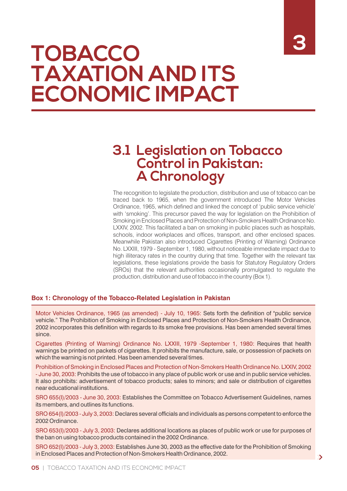# **3**

# **TOBACCO TAXATION AND ITS ECONOMIC IMPACT**

### **3.1 Legislation on Tobacco Control in Pakistan: A Chronology**

The recognition to legislate the production, distribution and use of tobacco can be traced back to 1965, when the government introduced The Motor Vehicles Ordinance, 1965, which defined and linked the concept of 'public service vehicle' with 'smoking'. This precursor paved the way for legislation on the Prohibition of Smoking in Enclosed Places and Protection of Non-Smokers Health Ordinance No. LXXIV, 2002. This facilitated a ban on smoking in public places such as hospitals, schools, indoor workplaces and offices, transport, and other enclosed spaces. Meanwhile Pakistan also introduced Cigarettes (Printing of Warning) Ordinance No. LXXIII, 1979 - September 1, 1980, without noticeable immediate impact due to high illiteracy rates in the country during that time. Together with the relevant tax legislations, these legislations provide the basis for Statutory Regulatory Orders (SROs) that the relevant authorities occasionally promulgated to regulate the production, distribution and use of tobacco in the country (Box 1).

#### **Box 1: Chronology of the Tobacco-Related Legislation in Pakistan**

Motor Vehicles Ordinance, 1965 (as amended) - July 10, 1965: Sets forth the definition of "public service vehicle." The Prohibition of Smoking in Enclosed Places and Protection of Non-Smokers Health Ordinance, 2002 incorporates this definition with regards to its smoke free provisions. Has been amended several times since.

Cigarettes (Printing of Warning) Ordinance No. LXXIII, 1979 -September 1, 1980: Requires that health warnings be printed on packets of cigarettes. It prohibits the manufacture, sale, or possession of packets on which the warning is not printed. Has been amended several times.

Prohibition of Smoking in Enclosed Places and Protection of Non-Smokers Health Ordinance No. LXXIV, 2002 - June 30, 2003: Prohibits the use of tobacco in any place of public work or use and in public service vehicles. It also prohibits: advertisement of tobacco products; sales to minors; and sale or distribution of cigarettes near educational institutions.

SRO 655(I)/2003 - June 30, 2003: Establishes the Committee on Tobacco Advertisement Guidelines, names its members, and outlines its functions.

SRO 654(I)/2003 - July 3, 2003: Declares several officials and individuals as persons competent to enforce the 2002 Ordinance.

SRO 653(I)/2003 - July 3, 2003: Declares additional locations as places of public work or use for purposes of the ban on using tobacco products contained in the 2002 Ordinance.

SRO 652(I)/2003 - July 3, 2003: Establishes June 30, 2003 as the effective date for the Prohibition of Smoking in Enclosed Places and Protection of Non-Smokers Health Ordinance, 2002.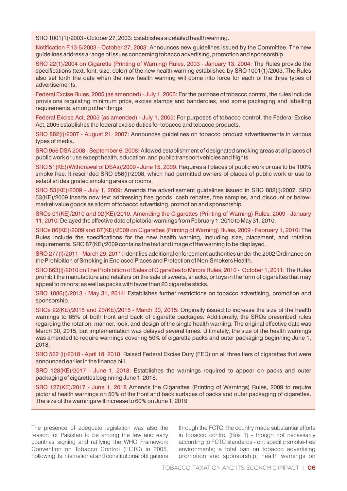SRO 1001(1)/2003 - October 27, 2003: Establishes a detailed health warning.

Notification F.13-5/2003 - October 27, 2003: Announces new quidelines issued by the Committee. The new guidelines address a range of issues concerning tobacco advertising, promotion and sponsorship.

SRO 22(1)/2004 on Cigarette (Printing of Warning) Rules, 2003 - January 13, 2004: The Rules provide the specifications (text, font, size, color) of the new health warning established by SRO 1001(1)/2003. The Rules also set forth the date when the new health warning will come into force for each of the three types of advertisements.

Federal Excise Rules, 2005 (as amended) - July 1, 2005: For the purpose of tobacco control, the rules include provisions regulating minimum price, excise stamps and banderoles, and some packaging and labelling requirements, among other things.

Federal Excise Act, 2005 (as amended) - July 1, 2005: For purposes of tobacco control, the Federal Excise Act, 2005 establishes the federal excise duties for tobacco and tobacco products.

SRO 882(I)/2007 - August 21, 2007: Announces guidelines on tobacco product advertisements in various types of media.

SRO 956 DSA 2008 - September 6, 2008: Allowed establishment of designated smoking areas at all places of public work or use except health, education, and public transport vehicles and ights.

SRO 51(KE)(Withdrawal of DSAs)/2009 - June 15, 2009: Requires all places of public work or use to be 100% smoke free. It rescinded SRO 956(I)/2008, which had permitted owners of places of public work or use to establish designated smoking areas or rooms.

SRO 53(KE)/2009 - July 1, 2009: Amends the advertisement guidelines issued in SRO 882(I)/2007. SRO 53(KE)/2009 inserts new text addressing free goods, cash rebates, free samples, and discount or belowmarket-value goods as a form of tobacco advertising, promotion and sponsorship.

SROs 01(KE)/2010 and 02(KE)/2010, Amending the Cigarettes (Printing of Warning) Rules, 2009 - January 11, 2010: Delayed the effective date of pictorial warnings from February 1, 2010 to May 31, 2010.

SROs 86(KE)/2009 and 87(KE)/2009 on Cigarettes (Printing of Warning) Rules, 2009 - February 1, 2010: The Rules include the specifications for the new health warning, including size, placement, and rotation requirements. SRO 87(KE)/2009 contains the text and image of the warning to be displayed.

SRO 277(I)/2011 - March 29, 2011: Identifies additional enforcement authorities under the 2002 Ordinance on the Prohibition of Smoking in Enclosed Places and Protection of Non-Smokers Health.

SRO 863(I)/2010 on The Prohibition of Sales of Cigarettes to Minors Rules, 2010 - October 1, 2011: The Rules prohibit the manufacture and retailers on the sale of sweets, snacks, or toys in the form of cigarettes that may appeal to minors; as well as packs with fewer than 20 cigarette sticks.

SRO 1086(I)/2013 - May 31, 2014: Establishes further restrictions on tobacco advertising, promotion and sponsorship.

SROs 22(KE)/2015 and 23(KE)/2015 - March 30, 2015: Originally issued to increase the size of the health warnings to 85% of both front and back of cigarette packages. Additionally, the SROs prescribed rules regarding the rotation, manner, look, and design of the single health warning. The original effective date was March 30, 2015, but implementation was delayed several times. Ultimately, the size of the health warnings was amended to require warnings covering 50% of cigarette packs and outer packaging beginning June 1, 2018.

SRO 562 (I)/2018 - April 18, 2018: Raised Federal Excise Duty (FED) on all three tiers of cigarettes that were announced earlier in the finance bill.

SRO 128(KE)/2017 - June 1, 2018: Establishes the warnings required to appear on packs and outer packaging of cigarettes beginning June 1, 2018.

SRO 127(KE)/2017 - June 1, 2018 Amends the Cigarettes (Printing of Warnings) Rules, 2009 to require pictorial health warnings on 50% of the front and back surfaces of packs and outer packaging of cigarettes. The size of the warnings will increase to 60% on June 1, 2019.

The presence of adequate legislation was also the reason for Pakistan to be among the few and early countries signing and ratifying the WHO Framework Convention on Tobacco Control (FCTC) in 2005. Following its international and constitutional obligations

through the FCTC, the country made substantial efforts in tobacco control (Box 1) - though not necessarily according to FCTC standards - on: specific smoke-free environments; a total ban on tobacco advertising promotion and sponsorship; health warnings on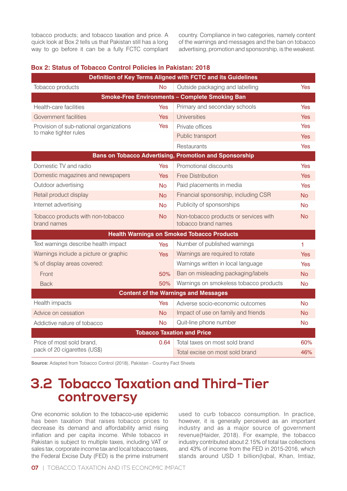tobacco products; and tobacco taxation and price. A quick look at Box 2 tells us that Pakistan still has a long way to go before it can be a fully FCTC compliant country. Compliance in two categories, namely content of the warnings and messages and the ban on tobacco advertising, promotion and sponsorship, is the weakest.

| Definition of Key Terms Aligned with FCTC and its Guidelines |            |                                                               |            |  |
|--------------------------------------------------------------|------------|---------------------------------------------------------------|------------|--|
| Tobacco products                                             | <b>No</b>  | Outside packaging and labelling                               | <b>Yes</b> |  |
|                                                              |            | <b>Smoke-Free Environments - Complete Smoking Ban</b>         |            |  |
| Health-care facilities                                       | <b>Yes</b> | Primary and secondary schools                                 | Yes        |  |
| Government facilities                                        | <b>Yes</b> | <b>Universities</b>                                           | <b>Yes</b> |  |
| Provision of sub-national organizations                      | <b>Yes</b> | Private offices                                               | <b>Yes</b> |  |
| to make tighter rules                                        |            | Public transport                                              | <b>Yes</b> |  |
|                                                              |            | Restaurants                                                   | <b>Yes</b> |  |
|                                                              |            | <b>Bans on Tobacco Advertising, Promotion and Sponsorship</b> |            |  |
| Domestic TV and radio                                        | <b>Yes</b> | Promotional discounts                                         | <b>Yes</b> |  |
| Domestic magazines and newspapers                            | Yes        | <b>Free Distribution</b>                                      | <b>Yes</b> |  |
| Outdoor advertising                                          | <b>No</b>  | Paid placements in media                                      | <b>Yes</b> |  |
| Retail product display                                       | <b>No</b>  | Financial sponsorship, including CSR                          | <b>No</b>  |  |
| Internet advertising                                         | <b>No</b>  | Publicity of sponsorships                                     | No         |  |
| Tobacco products with non-tobacco<br>brand names             | <b>No</b>  | Non-tobacco products or services with<br>tobacco brand names  | No         |  |
|                                                              |            | <b>Health Warnings on Smoked Tobacco Products</b>             |            |  |
| Text warnings describe health impact                         | <b>Yes</b> | Number of published warnings                                  | 1          |  |
| Warnings include a picture or graphic                        | <b>Yes</b> | Warnings are required to rotate                               | <b>Yes</b> |  |
| % of display areas covered:                                  |            | Warnings written in local language                            | <b>Yes</b> |  |
| Front                                                        | 50%        | Ban on misleading packaging/labels                            | <b>No</b>  |  |
| <b>Back</b>                                                  | 50%        | Warnings on smokeless tobacco products                        | <b>No</b>  |  |
|                                                              |            | <b>Content of the Warnings and Messages</b>                   |            |  |
| Health impacts                                               | Yes        | Adverse socio-economic outcomes                               | <b>No</b>  |  |
| Advice on cessation                                          | <b>No</b>  | Impact of use on family and friends                           | <b>No</b>  |  |
| Addictive nature of tobacco                                  | No         | Quit-line phone number                                        | <b>No</b>  |  |
|                                                              |            | <b>Tobacco Taxation and Price</b>                             |            |  |
| Price of most sold brand,                                    | 0.64       | Total taxes on most sold brand                                | 60%        |  |
| pack of 20 cigarettes (US\$)                                 |            | Total excise on most sold brand                               | 46%        |  |

#### **Box 2: Status of Tobacco Control Policies in Pakistan: 2018**

**Source:** Adapted from Tobacco Control (2018), Pakistan - Country Fact Sheets

### **3.2 Tobacco Taxation and Third-Tier controversy**

One economic solution to the tobacco-use epidemic has been taxation that raises tobacco prices to decrease its demand and affordability amid rising inflation and per capita income. While tobacco in Pakistan is subject to multiple taxes, including VAT or sales tax, corporate income tax and local tobacco taxes, the Federal Excise Duty (FED) is the prime instrument

used to curb tobacco consumption. In practice, however, it is generally perceived as an important industry and as a major source of government revenue(Haider, 2018). For example, the tobacco industry contributed about 2.15% of total tax collections and 43% of income from the FED in 2015-2016, which stands around USD 1 billion(Iqbal, Khan, Imtiaz,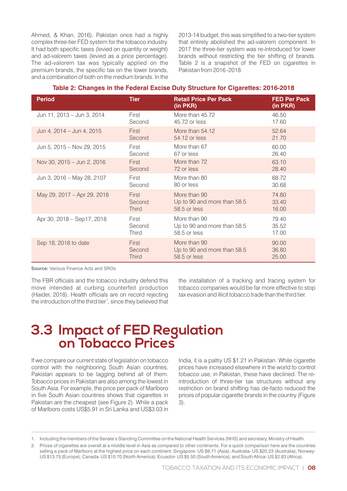Ahmed, & Khan, 2016). Pakistan once had a highly complex three-tier FED system for the tobacco industry. It had both specific taxes (levied on quantity or weight) and ad-valorem taxes (levied as a price percentage). The ad-valorem tax was typically applied on the premium brands, the specific tax on the lower brands, and a combination of both on the medium brands. In the

2013-14 budget, this was simplified to a two-tier system that entirely abolished the ad-valorem component. In 2017 the three-tier system was re-introduced for lower brands without restricting the tier shifting of brands. Table 2 is a snapshot of the FED on cigarettes in Pakistan from 2016 -2018.

#### **Table 2: Changes in the Federal Excise Duty Structure for Cigarettes: 2016-2018**

| <b>Period</b>               | <b>Tier</b>  | <b>Retail Price Per Pack</b><br>(in PKR) | <b>FED Per Pack</b><br>(in PKR) |
|-----------------------------|--------------|------------------------------------------|---------------------------------|
| Jun 11, 2013 – Jun 3, 2014  | First        | More than 45.72                          | 46.50                           |
|                             | Second       | 45.72 or less                            | 17.60                           |
| Jun 4, 2014 - Jun 4, 2015   | First        | More than 54.12                          | 52.64                           |
|                             | Second       | 54.12 or less                            | 21.70                           |
| Jun 5, 2015 - Nov 29, 2015  | First        | More than 67                             | 60.00                           |
|                             | Second       | 67 or less                               | 26.40                           |
| Nov 30, 2015 - Jun 2, 2016  | First        | More than 72                             | 63.10                           |
|                             | Second       | 72 or less                               | 28.40                           |
| Jun 3, 2016 - May 28, 2107  | First        | More than 80                             | 68.72                           |
|                             | Second       | 80 or less                               | 30.68                           |
| May 29, 2017 - Apr 29, 2018 | First        | More than 90                             | 74.80                           |
|                             | Second       | Up to 90 and more than 58.5              | 33.40                           |
|                             | <b>Third</b> | 58.5 or less                             | 16.00                           |
| Apr 30, 2018 - Sep17, 2018  | First        | More than 90                             | 79.40                           |
|                             | Second       | Up to 90 and more than 58.5              | 35.52                           |
|                             | <b>Third</b> | 58.5 or less                             | 17.00                           |
| Sep 18, 2018 to date        | First        | More than 90                             | 90.00                           |
|                             | Second       | Up to 90 and more than 58.5              | 36.80                           |
|                             | <b>Third</b> | 58.5 or less                             | 25.00                           |

**Source:** Various Finance Acts and SROs

The FBR officials and the tobacco industry defend this move intended at curbing counterfeit production (Haider, 2018). Health officials are on record rejecting the introduction of the third tier<sup>1</sup>, since they believed that the installation of a tracking and tracing system for tobacco companies would be far more effective to stop tax evasion and illicit tobacco trade than the third tier.

### **3.3 Impact of FED Regulation on Tobacco Prices**

If we compare our current state of legislation on tobacco control with the neighboring South Asian countries, Pakistan appears to be lagging behind all of them. Tobacco prices in Pakistan are also among the lowest in South Asia. For example, the price per pack of Marlboro in five South Asian countries shows that cigarettes in Pakistan are the cheapest (see Figure 2). While a pack of Marlboro costs US\$5.91 in Sri Lanka and US\$3.03 in

India, it is a paltry US \$1.21 in Pakistan. While cigarette prices have increased elsewhere in the world to control tobacco use, in Pakistan, these have declined. The reintroduction of three-tier tax structures without any restriction on brand shifting has de-facto reduced the prices of popular cigarette brands in the country (Figure 3).

<sup>1.</sup> Including the members of the Senate's Standing Committee on the National Health Services (NHS) and secretary, Ministry of Health.

<sup>2.</sup> Prices of cigarettes are overall at a middle level in Asia as compared to other continents. For a quick comparison here are the countries selling a pack of Marlboro at the highest price on each continent: Singapore- US \$9.71 (Asia); Australia- US \$20.23 (Australia); Norway-US \$13.75 (Europe); Canada- US \$10.70 (North America); Ecuador- US \$5.50 (South America); and South Africa- US \$2.83 (Africa).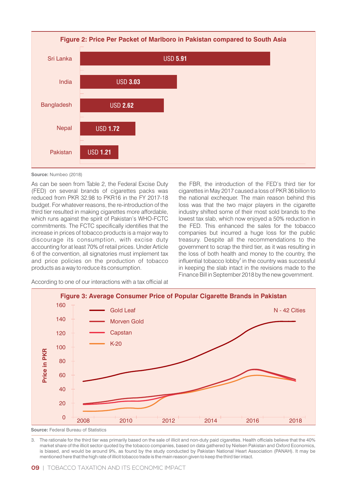

**Source:** Numbeo (2018)

As can be seen from Table 2, the Federal Excise Duty (FED) on several brands of cigarettes packs was reduced from PKR 32.98 to PKR16 in the FY 2017-18 budget. For whatever reasons, the re-introduction of the third tier resulted in making cigarettes more affordable, which runs against the spirit of Pakistan's WHO-FCTC commitments. The FCTC specifically identifies that the increase in prices of tobacco products is a major way to discourage its consumption, with excise duty accounting for at least 70% of retail prices. Under Article 6 of the convention, all signatories must implement tax and price policies on the production of tobacco products as a way to reduce its consumption.

the FBR, the introduction of the FED's third tier for cigarettes in May 2017 caused a loss of PKR 36 billion to the national exchequer. The main reason behind this loss was that the two major players in the cigarette industry shifted some of their most sold brands to the lowest tax slab, which now enjoyed a 50% reduction in the FED. This enhanced the sales for the tobacco companies but incurred a huge loss for the public treasury. Despite all the recommendations to the government to scrap the third tier, as it was resulting in the loss of both health and money to the country, the influential tobacco lobby<sup>3</sup> in the country was successful in keeping the slab intact in the revisions made to the Finance Bill in September 2018 by the new government.

According to one of our interactions with a tax official at



3. The rationale for the third tier was primarily based on the sale of illicit and non-duty paid cigarettes. Health officials believe that the 40% market share of the illicit sector quoted by the tobacco companies, based on data gathered by Nielsen Pakistan and Oxford Economics, is biased, and would be around 9%, as found by the study conducted by Pakistan National Heart Association (PANAH). It may be mentioned here that the high rate of illicit tobacco trade is the main reason given to keep the third tier intact.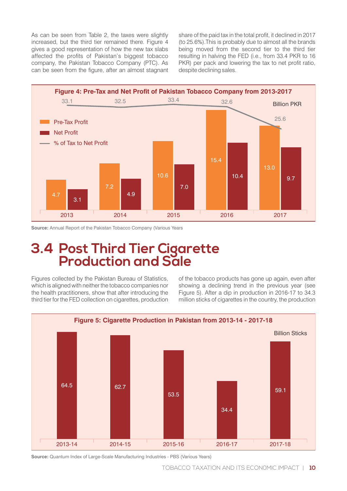As can be seen from Table 2, the taxes were slightly increased, but the third tier remained there. Figure 4 gives a good representation of how the new tax slabs affected the profits of Pakistan's biggest tobacco company, the Pakistan Tobacco Company (PTC). As can be seen from the figure, after an almost stagnant share of the paid tax in the total profit, it declined in 2017 (to 25.6%).This is probably due to almost all the brands being moved from the second tier to the third tier resulting in halving the FED (i.e., from 33.4 PKR to 16 PKR) per pack and lowering the tax to net profit ratio, despite declining sales.



**Source:** Annual Report of the Pakistan Tobacco Company (Various Years

### **3.4 Post Third Tier Cigarette Production and Sale**

Figures collected by the Pakistan Bureau of Statistics, which is aligned with neither the tobacco companies nor the health practitioners, show that after introducing the third tier for the FED collection on cigarettes, production of the tobacco products has gone up again, even after showing a declining trend in the previous year (see Figure 5). After a dip in production in 2016-17 to 34.3 million sticks of cigarettes in the country, the production



**Source:** Quantum Index of Large-Scale Manufacturing Industries - PBS (Various Years)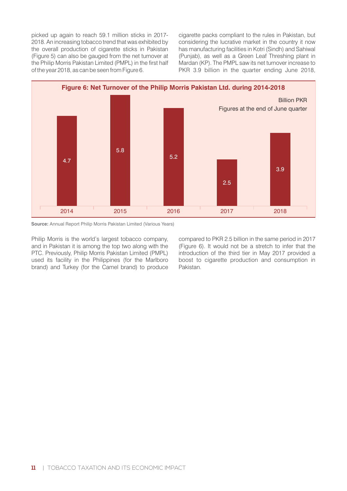picked up again to reach 59.1 million sticks in 2017- 2018. An increasing tobacco trend that was exhibited by the overall production of cigarette sticks in Pakistan (Figure 5) can also be gauged from the net turnover at the Philip Morris Pakistan Limited (PMPL) in the first half of the year 2018, as can be seen from Figure 6.

cigarette packs compliant to the rules in Pakistan, but considering the lucrative market in the country it now has manufacturing facilities in Kotri (Sindh) and Sahiwal (Punjab), as well as a Green Leaf Threshing plant in Mardan (KP). The PMPL saw its net turnover increase to PKR 3.9 billion in the quarter ending June 2018,



**Source:** Annual Report Philip Morris Pakistan Limited (Various Years)

Philip Morris is the world's largest tobacco company, and in Pakistan it is among the top two along with the PTC. Previously, Philip Morris Pakistan Limited (PMPL) used its facility in the Philippines (for the Marlboro brand) and Turkey (for the Camel brand) to produce

compared to PKR 2.5 billion in the same period in 2017 (Figure 6). It would not be a stretch to infer that the introduction of the third tier in May 2017 provided a boost to cigarette production and consumption in Pakistan.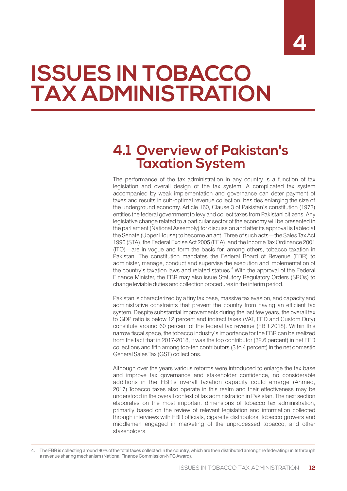# **ISSUES IN TOBACCO TAX ADMINISTRATION**

### **4.1 Overview of Pakistan's Taxation System**

The performance of the tax administration in any country is a function of tax legislation and overall design of the tax system. A complicated tax system accompanied by weak implementation and governance can deter payment of taxes and results in sub-optimal revenue collection, besides enlarging the size of the underground economy. Article 160, Clause 3 of Pakistan's constitution (1973) entitles the federal government to levy and collect taxes from Pakistani citizens. Any legislative change related to a particular sector of the economy will be presented in the parliament (National Assembly) for discussion and after its approval is tabled at the Senate (Upper House) to become an act. Three of such acts—the Sales Tax Act 1990 (STA), the Federal Excise Act 2005 (FEA), and the Income Tax Ordinance 2001 (ITO)—are in vogue and form the basis for, among others, tobacco taxation in Pakistan. The constitution mandates the Federal Board of Revenue (FBR) to administer, manage, conduct and supervise the execution and implementation of the country's taxation laws and related statues.<sup>4</sup> With the approval of the Federal Finance Minister, the FBR may also issue Statutory Regulatory Orders (SROs) to change leviable duties and collection procedures in the interim period.

Pakistan is characterized by a tiny tax base, massive tax evasion, and capacity and administrative constraints that prevent the country from having an efficient tax system. Despite substantial improvements during the last few years, the overall tax to GDP ratio is below 12 percent and indirect taxes (VAT, FED and Custom Duty) constitute around 60 percent of the federal tax revenue (FBR 2018). Within this narrow fiscal space, the tobacco industry's importance for the FBR can be realized from the fact that in 2017-2018, it was the top contributor (32.6 percent) in net FED collections and fifth among top-ten contributors (3 to 4 percent) in the net domestic General Sales Tax (GST) collections.

Although over the years various reforms were introduced to enlarge the tax base and improve tax governance and stakeholder confidence, no considerable additions in the FBR's overall taxation capacity could emerge (Ahmed, 2017).Tobacco taxes also operate in this realm and their effectiveness may be understood in the overall context of tax administration in Pakistan. The next section elaborates on the most important dimensions of tobacco tax administration, primarily based on the review of relevant legislation and information collected through interviews with FBR officials, cigarette distributors, tobacco growers and middlemen engaged in marketing of the unprocessed tobacco, and other stakeholders.

<sup>4.</sup> The FBR is collecting around 90% of the total taxes collected in the country, which are then distributed among the federating units through a revenue sharing mechanism (National Finance Commission-NFC Award).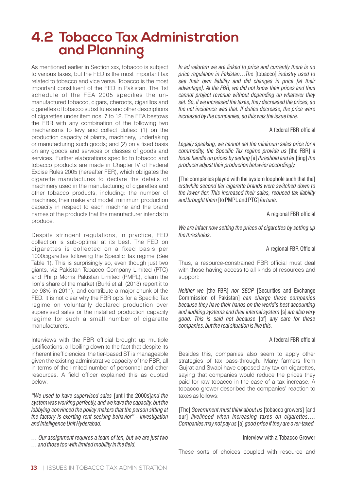## **4.2 Tobacco Tax Administration and Planning**

As mentioned earlier in Section xxx, tobacco is subject to various taxes, but the FED is the most important tax related to tobacco and vice versa. Tobacco is the most important constituent of the FED in Pakistan. The 1st schedule of the FEA 2005 specifies the unmanufactured tobacco, cigars, cheroots, cigarillos and cigarettes of tobacco substitutes and other descriptions of cigarettes under item nos. 7 to 12. The FEA bestows the FBR with any combination of the following two mechanisms to levy and collect duties: (1) on the production capacity of plants, machinery, undertaking or manufacturing such goods; and (2) on a fixed basis on any goods and services or classes of goods and services. Further elaborations specific to tobacco and tobacco products are made in Chapter IV of Federal Excise Rules 2005 (hereafter FER), which obligates the cigarette manufactures to declare the details of machinery used in the manufacturing of cigarettes and other tobacco products, including: the number of machines, their make and model, minimum production capacity in respect to each machine and the brand names of the products that the manufacturer intends to produce.

Despite stringent regulations, in practice, FED collection is sub-optimal at its best. The FED on cigarettes is collected on a fixed basis per 1000cigarettes following the Specific Tax regime (See Table 1). This is surprisingly so, even though just two giants, viz Pakistan Tobacco Company Limited (PTC) and Philip Morris Pakistan Limited (PMPL), claim the lion's share of the market (Burki et al. (2013) report it to be 98% in 2011), and contribute a major chunk of the FED. It is not clear why the FBR opts for a Specific Tax regime on voluntarily declared production over supervised sales or the installed production capacity regime for such a small number of cigarette manufacturers.

Interviews with the FBR official brought up multiple justifications, all boiling down to the fact that despite its inherent inefficiencies, the tier-based ST is manageable given the existing administrative capacity of the FBR, all in terms of the limited number of personnel and other resources. A field officer explained this as quoted below:

*"We used to have supervised sales* [until the 2000s]*and the system was working perfectly, and we have the capacity, but the lobbying convinced the policy makers that the person sitting at the factory is exerting rent seeking behavior" - Investigation and Intelligence Unit Hyderabad.*

*… Our assignment requires a team of ten, but we are just two … and those too with limited mobility in the eld.*

*In ad valorem we are linked to price and currently there is no price regulation in Pakistan…The* [tobacco] *industry used to see their own liability and did changes in price [at their advantage]. At the FBR, we did not know their prices and thus cannot project revenue without depending on whatever they set. So, if we increased the taxes, they decreased the prices, so the net incidence was that. If duties decrease, the price were increased by the companies, so this was the issue here.*

#### A federal FBR official

*Legally speaking, we cannot set the minimum sales price for a commodity, the Specific Tax regime provide us* [the FBR] *a loose handle on prices by setting* [a] *threshold and let* [ting] *the producer adjust their production behavior accordingly.*

[The companies played with the system loophole such that the] *erstwhile second tier cigarette brands were switched down to the lower tier. This increased their sales, reduced tax liability and brought them*[to PMPL and PTC]*fortune.*

A regional FBR official

*We are infact now setting the prices of cigarettes by setting up the thresholds.*

#### A regional FBR Official

Thus, a resource-constrained FBR official must deal with those having access to all kinds of resources and support:

*Neither we* [the FBR] *nor SECP* [Securities and Exchange Commission of Pakistan] *can charge these companies because they have their hands on the world's best accounting and auditing systems and their internal system* [s] *are also very good. This is said not because* [of] *any care for these companies, but the real situation is like this.*

#### A federal FBR official

Besides this, companies also seem to apply other strategies of tax pass-through. Many farmers from Gujrat and Swabi have opposed any tax on cigarettes, saying that companies would reduce the prices they paid for raw tobacco in the case of a tax increase. A tobacco grower described the companies' reaction to taxes as follows:

[The] *Government must think about us* [tobacco growers] [and our] *livelihood when increasing taxes on cigarettes…. Companies may not pay us* [a] *good price if they are over-taxed.*

#### Interview with a Tobacco Grower

These sorts of choices coupled with resource and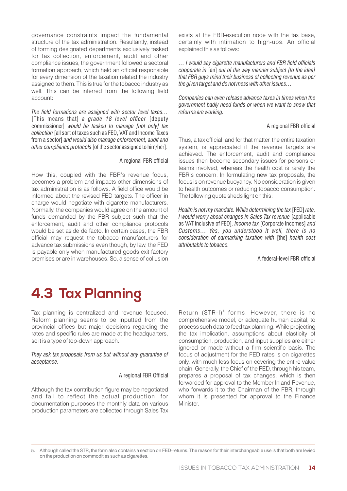governance constraints impact the fundamental structure of the tax administration. Resultantly, instead of forming designated departments exclusively tasked for tax collection, enforcement, audit and other compliance issues, the government followed a sectoral formation approach, which held an official responsible for every dimension of the taxation related the industry assigned to them. This is true for the tobacco industry as well. This can be inferred from the following field account:

*The field formations are assigned with sector level taxes...* [This means that] *a grade* 18 *level officer* [deputy commissioner] *would be tasked to manage [not only] tax collection* [all sort of taxes such as FED, VAT and Income Taxes from a sector] *and would also manage enforcement, audit and other compliance protocols* [of the sector assigned to him/her].

#### A regional FBR official

How this, coupled with the FBR's revenue focus, becomes a problem and impacts other dimensions of tax administration is as follows. A field office would be informed about the revised FED targets. The officer in charge would negotiate with cigarette manufacturers. Normally, the companies would agree on the amount of funds demanded by the FBR subject such that the enforcement, audit and other compliance protocols would be set aside de facto. In certain cases, the FBR official may request the tobacco manufacturers for advance tax submissions even though, by law, the FED is payable only when manufactured goods exit factory premises or are in warehouses. So, a sense of collusion exists at the FBR-execution node with the tax base, certainly with intimation to high-ups. An official explained this as follows:

 $\dots$  I would say cigarette manufacturers and FBR field officials *cooperate in* [an] *out of the way manner subject [to the idea] that FBR guys mind their business of collecting revenue as per the given target and do not mess with other issues…*

*Companies can even release advance taxes in times when the government badly need funds or when we want to show that reforms are working.*

#### A regional FBR official

Thus, a tax official, and for that matter, the entire taxation system, is appreciated if the revenue targets are achieved. The enforcement, audit and compliance issues then become secondary issues for persons or teams involved, whereas the health cost is rarely the FBR's concern. In formulating new tax proposals, the focus is on revenue buoyancy. No consideration is given to health outcomes or reducing tobacco consumption. The following quote sheds light on this:

*Health is not my mandate. While determining the tax* [FED] *rate, I would worry about changes in Sales Tax revenue* [applicable as VAT inclusive of FED]*, Income tax* [Corporate Incomes] *and Customs… Yes, you understood it well, there is no consideration of earmarking taxation with* [the] *health cost attributable to tobacco.*

A federal-level FBR official

## **4.3 Tax Planning**

Tax planning is centralized and revenue focused. Reform planning seems to be inputted from the provincial offices but major decisions regarding the rates and specific rules are made at the headquarters, so it is a type of top-down approach.

*They ask tax proposals from us but without any guarantee of acceptance.*

#### A regional FBR Official

Although the tax contribution figure may be negotiated and fail to reflect the actual production, for documentation purposes the monthly data on various production parameters are collected through Sales Tax

Return (STR-I)<sup>5</sup> forms. However, there is no comprehensive model, or adequate human capital, to process such data to feed tax planning. While projecting the tax implication, assumptions about elasticity of consumption, production, and input supplies are either ignored or made without a firm scientific basis. The focus of adjustment for the FED rates is on cigarettes only, with much less focus on covering the entire value chain. Generally, the Chief of the FED, through his team, prepares a proposal of tax changes, which is then forwarded for approval to the Member Inland Revenue, who forwards it to the Chairman of the FBR, through whom it is presented for approval to the Finance Minister.

<sup>5.</sup> Although called the STR, the form also contains a section on FED-returns. The reason for their interchangeable use is that both are levied on the production on commodities such as cigarettes.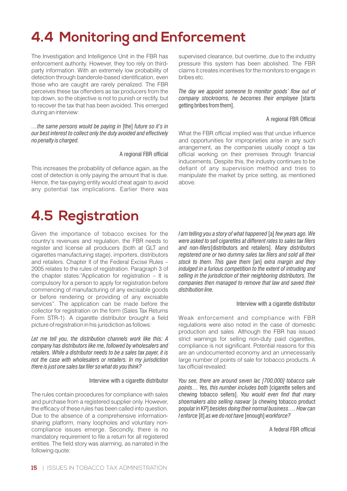## **4.4 Monitoring and Enforcement**

The Investigation and Intelligence Unit in the FBR has enforcement authority. However, they too rely on thirdparty information. With an extremely low probability of detection through banderole-based identification, even those who are caught are rarely penalized. The FBR perceives these tax offenders as tax producers from the top down, so the objective is not to punish or rectify, but to recover the tax that has been avoided. This emerged during an interview:

*…the same persons would be paying in* [the] *future so it's in our best interest to collect only the duty avoided and effectively no penalty is charged.*

#### A regional FBR official

This increases the probability of defiance again, as the cost of detection is only paying the amount that is due. Hence, the tax-paying entity would cheat again to avoid any potential tax implications. Earlier there was

## **4.5 Registration**

Given the importance of tobacco excises for the country's revenues and regulation, the FBR needs to register and license all producers (both at GLT and cigarettes manufacturing stage), importers, distributors and retailers. Chapter II of the Federal Excise Rules – 2005 relates to the rules of registration. Paragraph 3 of the chapter states:"Application for registration – It is compulsory for a person to apply for registration before commencing of manufacturing of any excisable goods or before rendering or providing of any excisable services". The application can be made before the collector for registration on the form (Sales Tax Returns Form STR-1). A cigarette distributor brought a field picture of registration in his jurisdiction as follows:

*Let me tell you, the distribution channels work like this: A company has distributors like me, followed by wholesalers and retailers. While a distributor needs to be a sales tax payer, it is not the case with wholesalers or retailers. In my jurisdiction there is just one sales tax filer so what do you think?* 

#### Interview with a cigarette distributor

The rules contain procedures for compliance with sales and purchase from a registered supplier only. However, the efficacy of these rules has been called into question. Due to the absence of a comprehensive informationsharing platform, many loopholes and voluntary noncompliance issues emerge. Secondly, there is no mandatory requirement to file a return for all registered entities. The field story was alarming, as narrated in the following quote:

supervised clearance, but overtime, due to the industry pressure this system has been abolished. The FBR claims it creates incentives for the monitors to engage in bribes etc.

The day we appoint someone to monitor goods' flow out of *company stockrooms, he becomes their employee* [starts getting bribes from them].

#### A regional FBR Official

What the FBR official implied was that undue influence and opportunities for improprieties arise in any such arrangement, as the companies usually coopt a tax official working on their premises through financial inducements. Despite this, the industry continues to be defiant of any supervision method and tries to manipulate the market by price setting, as mentioned above.

*I am telling you a story of what happened* [a] *few years ago. We were asked to sell cigarettes at different rates to sales tax filers* and non-filers<sup>[distributors and retailers]. Many distributors</sup> *registered one or two dummy sales tax filers and sold all their stock to them. This gave them* [an] *extra margin and they indulged in a furious competition to the extent of intruding and selling in the jurisdiction of their neighboring distributors. The companies then managed to remove that law and saved their distribution line.*

#### Interview with a cigarette distributor

Weak enforcement and compliance with FBR regulations were also noted in the case of domestic production and sales. Although the FBR has issued strict warnings for selling non-duty paid cigarettes, compliance is not significant. Potential reasons for this are an undocumented economy and an unnecessarily large number of points of sale for tobacco products. A tax official revealed:

*You see, there are around seven lac [700,000] tobacco sale points… Yes, this number includes both* [cigarette sellers and chewing tobacco sellers]. *You would even find that many shoemakers also selling naswar* [a chewing tobacco product popular in KP] *besides doing their normal business…. How can I enforce* [it] *as we do not have* [enough]*workforce?*

A federal FBR official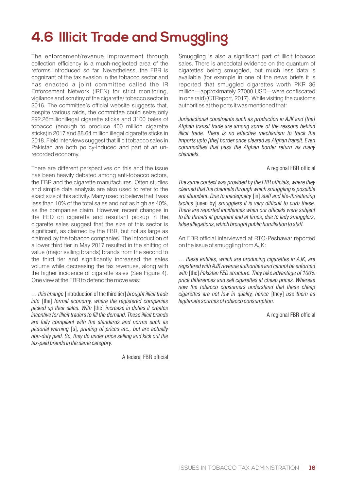## **4.6 Illicit Trade and Smuggling**

The enforcement/revenue improvement through collection efficiency is a much-neglected area of the reforms introduced so far. Nevertheless, the FBR is cognizant of the tax evasion in the tobacco sector and has enacted a joint committee called the IR Enforcement Network (IREN) for strict monitoring, vigilance and scrutiny of the cigarette/ tobacco sector in 2016. The committee's official website suggests that, despite various raids, the committee could seize only 292.26millionillegal cigarette sticks and 3100 bales of tobacco (enough to produce 400 million cigarette sticks)in 2017 and 88.64 million illegal cigarette sticks in 2018. Field interviews suggest that illicit tobacco sales in Pakistan are both policy-induced and part of an unrecorded economy.

There are different perspectives on this and the issue has been heavily debated among anti-tobacco actors, the FBR and the cigarette manufactures. Often studies and simple data analysis are also used to refer to the exact size of this activity. Many used to believe that it was less than 10% of the total sales and not as high as 40%, as the companies claim. However, recent changes in the FED on cigarette and resultant pickup in the cigarette sales suggest that the size of this sector is significant, as claimed by the FBR, but not as large as claimed by the tobacco companies. The introduction of a lower third tier in May 2017 resulted in the shifting of value (major selling brands) brands from the second to the third tier and significantly increased the sales volume while decreasing the tax revenues, along with the higher incidence of cigarette sales (See Figure 4). One view at the FBR to defend the move was:

*… this change* [introduction of the third tier] *brought illicit trade into* [the] *formal economy, where the registered companies picked up their sales. With* [the] *increase in duties it creates incentive for illicit traders to fill the demand. These illicit brands are fully compliant with the standards and norms such as pictorial warning* [s]*, printing of prices etc., but are actually non-duty paid. So, they do under price selling and kick out the tax-paid brands in the same category.*

A federal FBR official

Smuggling is also a significant part of illicit tobacco sales. There is anecdotal evidence on the quantum of cigarettes being smuggled, but much less data is available (for example in one of the news briefs it is reported that smuggled cigarettes worth PKR 36 million—approximately 27000 USD—were confiscated in one raid)(CTReport, 2017). While visiting the customs authorities at the ports it was mentioned that:

*Jurisdictional constraints such as production in AJK and [the] Afghan transit trade are among some of the reasons behind illicit trade. There is no effective mechanism to track the imports upto [the] border once cleared as Afghan transit. Even commodities that pass the Afghan border return via many channels.*

#### A regional FBR official

*The same context was provided by the FBR officials, where they claimed that the channels through which smuggling is possible are abundant. Due to inadequacy* [in] *staff and life-threatening tactics* [used by] *smugglers it is very difficult to curb these. There are reported incidences when our officials were subject to life threats at gunpoint and at times, due to lady smugglers, false allegations, which brought public humiliation to staff.*

An FBR official interviewed at RTO-Peshawar reported on the issue of smuggling from AJK:

*… these entities, which are producing cigarettes in AJK, are registered with AJK revenue authorities and cannot be enforced with* [the] *Pakistan FED structure. They take advantage of 100% price differences and sell cigarettes at cheap prices. Whereas now the tobacco consumers understand that these cheap cigarettes are not low in quality, hence* [they] *use them as legitimate sources of tobacco consumption.*

A regional FBR official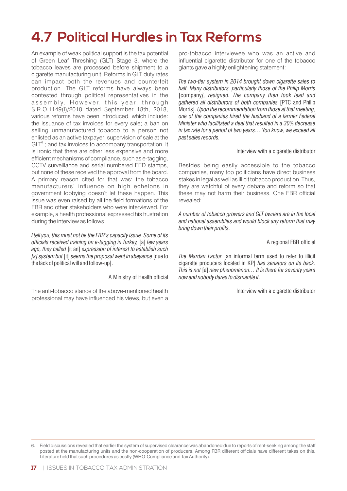## **4.7 Political Hurdles in Tax Reforms**

An example of weak political support is the tax potential of Green Leaf Threshing (GLT) Stage 3, where the tobacco leaves are processed before shipment to a cigarette manufacturing unit. Reforms in GLT duty rates can impact both the revenues and counterfeit production. The GLT reforms have always been contested through political representatives in the assembly. However, this year, through S.R.O.1149(I)/2018 dated September 18th, 2018, various reforms have been introduced, which include: the issuance of tax invoices for every sale; a ban on selling unmanufactured tobacco to a person not enlisted as an active taxpayer; supervision of sale at the  $GLT<sup>6</sup>$ ; and tax invoices to accompany transportation. It is ironic that there are other less expensive and more efficient mechanisms of compliance, such as e-tagging, CCTV surveillance and serial numbered FED stamps, but none of these received the approval from the board. A primary reason cited for that was: the tobacco manufacturers' influence on high echelons in government lobbying doesn't let these happen. This issue was even raised by all the field formations of the FBR and other stakeholders who were interviewed. For example, a health professional expressed his frustration during the interview as follows:

*I tell you, this must not be the FBR's capacity issue. Some of its officials received training on e-tagging in Turkey, [a] few years ago, they called* [it an] *expression of interest to establish such [a] system but* [it] *seems the proposal went in abeyance* [due to the lack of political will and follow-up].

A Ministry of Health official

The anti-tobacco stance of the above-mentioned health professional may have influenced his views, but even a

pro-tobacco interviewee who was an active and influential cigarette distributor for one of the tobacco giants gave a highly enlightening statement:

*The two-tier system in 2014 brought down cigarette sales to half. Many distributors, particularly those of the Philip Morris*  [company*], resigned. The company then took lead and gathered all distributors of both companies* [PTC and Philip Morris]. *Upon the recommendation from those at that meeting, one of the companies hired the husband of a farmer Federal Minister who facilitated a deal that resulted in a 30% decrease in tax rate for a period of two years… You know, we exceed all past sales records.*

#### Interview with a cigarette distributor

Besides being easily accessible to the tobacco companies, many top politicians have direct business stakes in legal as well as illicit tobacco production. Thus, they are watchful of every debate and reform so that these may not harm their business. One FBR official revealed:

*A number of tobacco growers and GLT owners are in the local and national assemblies and would block any reform that may bring down their profits.* 

#### A regional FBR official

*The Mardan Factor* [an informal term used to refer to illicit cigarette producers located in KP] *has senators on its back. This is not* [a] *new phenomenon… It is there for seventy years now and nobody dares to dismantle it.*

Interview with a cigarette distributor

<sup>6.</sup> Field discussions revealed that earlier the system of supervised clearance was abandoned due to reports of rent-seeking among the staff posted at the manufacturing units and the non-cooperation of producers. Among FBR different officials have different takes on this. Literature held that such procedures as costly (WHO-Compliance and Tax Authority).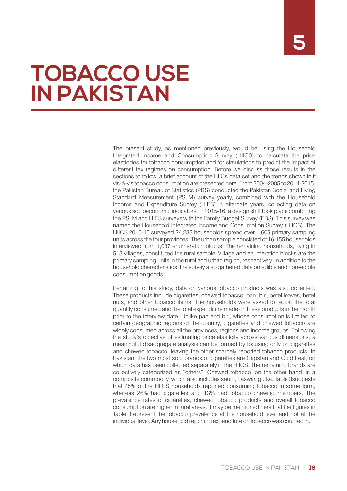# **TOBACCO USE IN PAKISTAN**

The present study, as mentioned previously, would be using the Household Integrated Income and Consumption Survey (HIICS) to calculate the price elasticities for tobacco consumption and for simulations to predict the impact of different tax regimes on consumption. Before we discuss those results in the sections to follow, a brief account of the HIICs data set and the trends shown in it vis-à-vis tobacco consumption are presented here. From 2004-2005 to 2014-2015, the Pakistan Bureau of Statistics (PBS) conducted the Pakistan Social and Living Standard Measurement (PSLM) survey yearly, combined with the Household Income and Expenditure Survey (HIES) in alternate years, collecting data on various socioeconomic indicators. In 2015-16, a design shift took place combining the PSLM and HIES surveys with the Family Budget Survey (FBS). This survey was named the Household Integrated Income and Consumption Survey (HIICS). The HIICS 2015-16 surveyed 24,238 households spread over 1,605 primary sampling units across the four provinces. The urban sample consisted of 16,155 households interviewed from 1,087 enumeration blocks. The remaining households, living in 518 villages, constituted the rural sample. Village and enumeration blocks are the primary sampling units in the rural and urban region, respectively. In addition to the household characteristics, the survey also gathered data on edible and non-edible consumption goods.

Pertaining to this study, data on various tobacco products was also collected. These products include cigarettes, chewed tobacco, pan, biri, betel leaves, betel nuts, and other tobacco items. The households were asked to report the total quantity consumed and the total expenditure made on these products in the month prior to the interview date. Unlike pan and biri, whose consumption is limited to certain geographic regions of the country, cigarettes and chewed tobacco are widely consumed across all the provinces, regions and income groups. Following the study's objective of estimating price elasticity across various dimensions, a meaningful disaggregate analysis can be formed by focusing only on cigarettes and chewed tobacco, leaving the other scarcely reported tobacco products. In Pakistan, the two most sold brands of cigarettes are Capstan and Gold Leaf, on which data has been collected separately in the HIICS. The remaining brands are collectively categorized as "others". Chewed tobacco, on the other hand, is a composite commodity, which also includes saunf, naswar, gutka. Table 3suggests that 45% of the HIICS households reported consuming tobacco in some form, whereas 26% had cigarettes and 13% had tobacco chewing members. The prevalence rates of cigarettes, chewed tobacco products and overall tobacco consumption are higher in rural areas. It may be mentioned here that the figures in Table 3represent the tobacco prevalence at the household level and not at the individual level. Any household reporting expenditure on tobacco was counted in.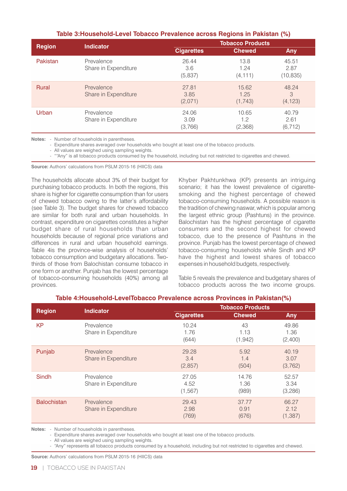| $1010 - 1010$ . To write the contraction were one the specifical contraction ( $\sqrt{v}$ ) |                                    |                          |                          |                            |  |
|---------------------------------------------------------------------------------------------|------------------------------------|--------------------------|--------------------------|----------------------------|--|
| <b>Region</b>                                                                               | <b>Indicator</b>                   | <b>Tobacco Products</b>  |                          |                            |  |
|                                                                                             |                                    | <b>Cigarettes</b>        | <b>Chewed</b>            | Any                        |  |
| Pakistan                                                                                    | Prevalence<br>Share in Expenditure | 26.44<br>3.6<br>(5,837)  | 13.8<br>1.24<br>(4, 111) | 45.51<br>2.87<br>(10, 835) |  |
| Rural                                                                                       | Prevalence<br>Share in Expenditure | 27.81<br>3.85<br>(2,071) | 15.62<br>1.25<br>(1,743) | 48.24<br>3<br>(4, 123)     |  |
| Urban                                                                                       | Prevalence<br>Share in Expenditure | 24.06<br>3.09<br>(3,766) | 10.65<br>1.2<br>(2,368)  | 40.79<br>2.61<br>(6, 712)  |  |

#### **Table 3:Household-Level Tobacco Prevalence across Regions in Pakistan (%)**

**Notes:** - Number of households in parentheses.

- Expenditure shares averaged over households who bought at least one of the tobacco products.

- All values are weighed using sampling weights.

- ""Any" is all tobacco products consumed by the household, including but not restricted to cigarettes and chewed.

**Source:** Authors' calculations from PSLM 2015-16 (HIICS) data

The households allocate about 3% of their budget for purchasing tobacco products. In both the regions, this share is higher for cigarette consumption than for users of chewed tobacco owing to the latter's affordability (see Table 3). The budget shares for chewed tobacco are similar for both rural and urban households. In contrast, expenditure on cigarettes constitutes a higher budget share of rural households than urban households because of regional price variations and differences in rural and urban household earnings. Table 4is the province-wise analysis of households' tobacco consumption and budgetary allocations. Twothirds of those from Balochistan consume tobacco in one form or another. Punjab has the lowest percentage of tobacco-consuming households (40%) among all provinces.

Khyber Pakhtunkhwa (KP) presents an intriguing scenario; it has the lowest prevalence of cigarettesmoking and the highest percentage of chewed tobacco-consuming households. A possible reason is the tradition of chewing naswar, which is popular among the largest ethnic group (Pashtuns) in the province. Balochistan has the highest percentage of cigarette consumers and the second highest for chewed tobacco, due to the presence of Pashtuns in the province. Punjab has the lowest percentage of chewed tobacco-consuming households while Sindh and KP have the highest and lowest shares of tobacco expenses in household budgets, respectively.

Table 5 reveals the prevalence and budgetary shares of tobacco products across the two income groups.

| <b>Region</b>      | <b>Indicator</b>                   | <b>Tobacco Products</b>   |                        |                           |
|--------------------|------------------------------------|---------------------------|------------------------|---------------------------|
|                    |                                    | <b>Cigarettes</b>         | <b>Chewed</b>          | <b>Any</b>                |
| <b>KP</b>          | Prevalence<br>Share in Expenditure | 10.24<br>1.76<br>(644)    | 43<br>1.13<br>(1, 942) | 49.86<br>1.36<br>(2,400)  |
| Punjab             | Prevalence<br>Share in Expenditure | 29.28<br>3.4<br>(2,857)   | 5.92<br>1.4<br>(504)   | 40.19<br>3.07<br>(3,762)  |
| Sindh              | Prevalence<br>Share in Expenditure | 27.05<br>4.52<br>(1, 567) | 14.76<br>1.36<br>(989) | 52.57<br>3.34<br>(3,286)  |
| <b>Balochistan</b> | Prevalence<br>Share in Expenditure | 29.43<br>2.98<br>(769)    | 37.77<br>0.91<br>(676) | 66.27<br>2.12<br>(1, 387) |

#### **Table 4:Household-LevelTobacco Prevalence across Provinces in Pakistan(%)**

**Notes:** - Number of households in parentheses.

- Expenditure shares averaged over households who bought at least one of the tobacco products.

- All values are weighed using sampling weights.

- "Any" represents all tobacco products consumed by a household, including but not restricted to cigarettes and chewed.

**Source:** Authors' calculations from PSLM 2015-16 (HIICS) data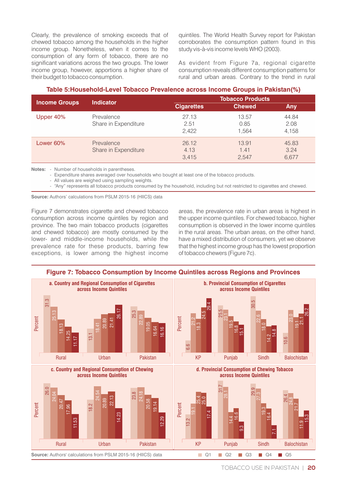Clearly, the prevalence of smoking exceeds that of chewed tobacco among the households in the higher income group. Nonetheless, when it comes to the consumption of any form of tobacco, there are no significant variations across the two groups. The lower income group, however, apportions a higher share of their budget to tobacco consumption.

quintiles. The World Health Survey report for Pakistan corroborates the consumption pattern found in this study vis-à-vis income levels WHO (2003).

As evident from Figure 7a, regional cigarette consumption reveals different consumption patterns for rural and urban areas. Contrary to the trend in rural

#### **Table 5:Household-Level Tobacco Prevalence across Income Groups in Pakistan(%)**

| <b>Income Groups</b> | <b>Indicator</b>                   |                        | <b>Tobacco Products</b> |                        |  |
|----------------------|------------------------------------|------------------------|-------------------------|------------------------|--|
|                      |                                    | <b>Cigarettes</b>      | <b>Chewed</b>           | Any                    |  |
| Upper 40%            | Prevalence<br>Share in Expenditure | 27.13<br>2.51<br>2,422 | 13.57<br>0.85<br>1.564  | 44.84<br>2.08<br>4,158 |  |
| Lower 60%            | Prevalence<br>Share in Expenditure | 26.12<br>4.13<br>3.415 | 13.91<br>1.41<br>2,547  | 45.83<br>3.24<br>6,677 |  |

**Notes:** - Number of households in parentheses.

- Expenditure shares averaged over households who bought at least one of the tobacco products.

- All values are weighed using sampling weights.
	- "Any" represents all tobacco products consumed by the household, including but not restricted to cigarettes and chewed.

**Source:** Authors' calculations from PSLM 2015-16 (HIICS) data

Figure 7 demonstrates cigarette and chewed tobacco consumption across income quintiles by region and province. The two main tobacco products (cigarettes and chewed tobacco) are mostly consumed by the lower- and middle-income households, while the prevalence rate for these products, barring few exceptions, is lower among the highest income areas, the prevalence rate in urban areas is highest in the upper income quintiles. For chewed tobacco, higher consumption is observed in the lower income quintiles in the rural areas. The urban areas, on the other hand, have a mixed distribution of consumers, yet we observe that the highest income group has the lowest proportion of tobacco chewers (Figure 7c).

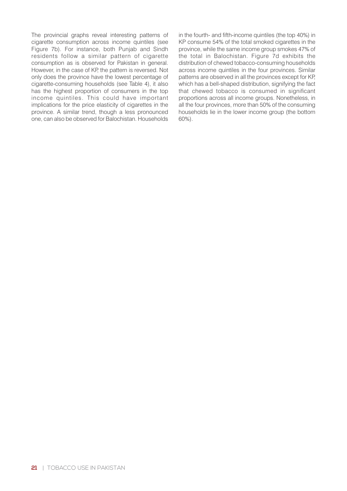The provincial graphs reveal interesting patterns of cigarette consumption across income quintiles (see Figure 7b). For instance, both Punjab and Sindh residents follow a similar pattern of cigarette consumption as is observed for Pakistan in general. However, in the case of KP, the pattern is reversed. Not only does the province have the lowest percentage of cigarette-consuming households (see Table 4), it also has the highest proportion of consumers in the top income quintiles. This could have important implications for the price elasticity of cigarettes in the province. A similar trend, though a less pronounced one, can also be observed for Balochistan. Households in the fourth- and fifth-income quintiles (the top 40%) in KP consume 54% of the total smoked cigarettes in the province, while the same income group smokes 47% of the total in Balochistan. Figure 7d exhibits the distribution of chewed tobacco-consuming households across income quintiles in the four provinces. Similar patterns are observed in all the provinces except for KP, which has a bell-shaped distribution, signifying the fact that chewed tobacco is consumed in significant proportions across all income groups. Nonetheless, in all the four provinces, more than 50% of the consuming households lie in the lower income group (the bottom 60%).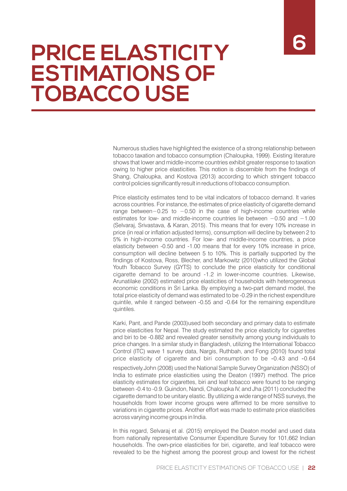# **PRICE ELASTICITY ESTIMATIONS OF TOBACCO USE**

Numerous studies have highlighted the existence of a strong relationship between tobacco taxation and tobacco consumption (Chaloupka, 1999). Existing literature shows that lower and middle-income countries exhibit greater response to taxation owing to higher price elasticities. This notion is discernible from the findings of Shang, Chaloupka, and Kostova (2013) according to which stringent tobacco control policies significantly result in reductions of tobacco consumption.

Price elasticity estimates tend to be vital indicators of tobacco demand. It varies across countries. For instance, the estimates of price elasticity of cigarette demand range between−0.25 to −0.50 in the case of high-income countries while estimates for low- and middle-income countries lie between −0.50 and −1.00 (Selvaraj, Srivastava, & Karan, 2015). This means that for every 10% increase in price (in real or inflation adjusted terms), consumption will decline by between 2 to 5% in high-income countries. For low- and middle-income countries, a price elasticity between -0.50 and -1.00 means that for every 10% increase in price, consumption will decline between 5 to 10%. This is partially supported by the findings of Kostova, Ross, Blecher, and Markowitz (2010)who utilized the Global Youth Tobacco Survey (GYTS) to conclude the price elasticity for conditional cigarette demand to be around -1.2 in lower-income countries. Likewise, Arunatilake (2002) estimated price elasticities of households with heterogeneous economic conditions in Sri Lanka. By employing a two-part demand model, the total price elasticity of demand was estimated to be -0.29 in the richest expenditure quintile, while it ranged between -0.55 and -0.64 for the remaining expenditure quintiles.

Karki, Pant, and Pande (2003)used both secondary and primary data to estimate price elasticities for Nepal. The study estimated the price elasticity for cigarettes and biri to be -0.882 and revealed greater sensitivity among young individuals to price changes. In a similar study in Bangladesh, utilizing the International Tobacco Control (ITC) wave 1 survey data, Nargis, Ruthbah, and Fong (2010) found total price elasticity of cigarette and biri consumption to be **‐**0.43 and **‐**0.64

respectively.John (2008) used the National Sample Survey Organization (NSSO) of India to estimate price elasticities using the Deaton (1997) method. The price elasticity estimates for cigarettes, biri and leaf tobacco were found to be ranging between -0.4 to -0.9. Guindon, Nandi, Chaloupka IV, and Jha (2011) concluded the cigarette demand to be unitary elastic. By utilizing a wide range of NSS surveys, the households from lower income groups were affirmed to be more sensitive to variations in cigarette prices. Another effort was made to estimate price elasticities across varying income groups in India.

In this regard, Selvaraj et al. (2015) employed the Deaton model and used data from nationally representative Consumer Expenditure Survey for 101,662 Indian households. The own-price elasticities for biri, cigarette, and leaf tobacco were revealed to be the highest among the poorest group and lowest for the richest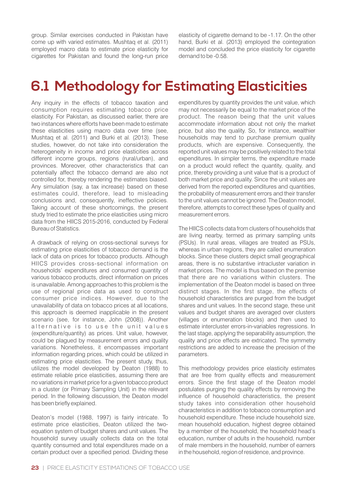group. Similar exercises conducted in Pakistan have come up with varied estimates. Mushtaq et al. (2011) employed macro data to estimate price elasticity for cigarettes for Pakistan and found the long-run price

elasticity of cigarette demand to be -1.17. On the other hand, Burki et al. (2013) employed the cointegration model and concluded the price elasticity for cigarette demand to be -0.58.

## **6.1 Methodology for Estimating Elasticities**

Any inquiry in the effects of tobacco taxation and consumption requires estimating tobacco price elasticity. For Pakistan, as discussed earlier, there are two instances where efforts have been made to estimate these elasticities using macro data over time (see, Mushtaq et al. (2011) and Burki et al. (2013). These studies, however, do not take into consideration the heterogeneity in income and price elasticities across different income groups, regions (rural/urban), and provinces. Moreover, other characteristics that can potentially affect the tobacco demand are also not controlled for, thereby rendering the estimates biased. Any simulation (say, a tax increase) based on these estimates could, therefore, lead to misleading conclusions and, consequently, ineffective policies. Taking account of these shortcomings, the present study tried to estimate the price elasticities using micro data from the HIICS 2015-2016, conducted by Federal Bureau of Statistics.

A drawback of relying on cross-sectional surveys for estimating price elasticities of tobacco demand is the lack of data on prices for tobacco products. Although HIICS provides cross-sectional information on households' expenditures and consumed quantity of various tobacco products, direct information on prices is unavailable. Among approaches to this problem is the use of regional price data as used to construct consumer price indices. However, due to the unavailability of data on tobacco prices at all locations, this approach is deemed inapplicable in the present scenario (see, for instance, John (2008)). Another alternative is to use the unit values (expenditure/quantity) as prices. Unit value, however, could be plagued by measurement errors and quality variations. Nonetheless, it encompasses important information regarding prices, which could be utilized in estimating price elasticities. The present study, thus, utilizes the model developed by Deaton (1988) to estimate reliable price elasticities, assuming there are no variations in market price for a given tobacco product in a cluster (or Primary Sampling Unit) in the relevant period. In the following discussion, the Deaton model has been briefly explained.

Deaton's model (1988, 1997) is fairly intricate. To estimate price elasticities, Deaton utilized the twoequation system of budget shares and unit values. The household survey usually collects data on the total quantity consumed and total expenditures made on a certain product over a specified period. Dividing these

expenditures by quantity provides the unit value, which may not necessarily be equal to the market price of the product. The reason being that the unit values accommodate information about not only the market price, but also the quality. So, for instance, wealthier households may tend to purchase premium quality products, which are expensive. Consequently, the reported unit values may be positively related to the total expenditures. In simpler terms, the expenditure made on a product would reflect the quantity, quality, and price, thereby providing a unit value that is a product of both market price and quality. Since the unit values are derived from the reported expenditures and quantities, the probability of measurement errors and their transfer to the unit values cannot be ignored. The Deaton model, therefore, attempts to correct these types of quality and measurement errors.

The HIICS collects data from clusters of households that are living nearby, termed as primary sampling units (PSUs). In rural areas, villages are treated as PSUs, whereas in urban regions, they are called enumeration blocks. Since these clusters depict small geographical areas, there is no substantive intracluster variation in market prices. The model is thus based on the premise that there are no variations within clusters. The implementation of the Deaton model is based on three distinct stages. In the first stage, the effects of household characteristics are purged from the budget shares and unit values. In the second stage, these unit values and budget shares are averaged over clusters (villages or enumeration blocks) and then used to estimate intercluster errors-in-variables regressions. In the last stage, applying the separability assumption, the quality and price effects are extricated. The symmetry restrictions are added to increase the precision of the parameters.

This methodology provides price elasticity estimates that are free from quality effects and measurement errors. Since the first stage of the Deaton model postulates purging the quality effects by removing the influence of household characteristics, the present study takes into consideration other household characteristics in addition to tobacco consumption and household expenditure. These include household size, mean household education, highest degree obtained by a member of the household, the household head's education, number of adults in the household, number of male members in the household, number of earners in the household, region of residence, and province.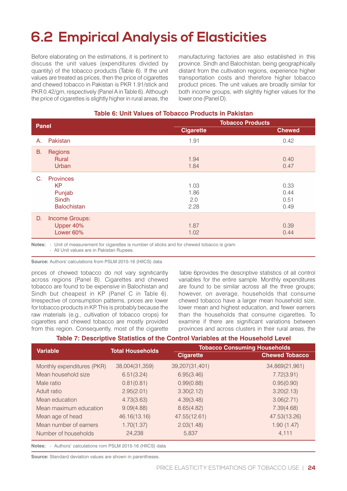## **6.2 Empirical Analysis of Elasticities**

Before elaborating on the estimations, it is pertinent to discuss the unit values (expenditures divided by quantity) of the tobacco products (Table 6). If the unit values are treated as prices, then the price of cigarettes and chewed tobacco in Pakistan is PKR 1.91/stick and PKR 0.42/gm, respectively (Panel A in Table 6). Although the price of cigarettes is slightly higher in rural areas, the manufacturing factories are also established in this province. Sindh and Balochistan, being geographically distant from the cultivation regions, experience higher transportation costs and therefore higher tobacco product prices. The unit values are broadly similar for both income groups, with slightly higher values for the lower one (Panel D).

#### **Table 6: Unit Values of Tobacco Products in Pakistan**

| <b>Panel</b> |                                                                        | <b>Tobacco Products</b>     |                              |  |  |
|--------------|------------------------------------------------------------------------|-----------------------------|------------------------------|--|--|
|              |                                                                        | <b>Cigarette</b>            | <b>Chewed</b>                |  |  |
| Α.           | Pakistan                                                               | 1.91                        | 0.42                         |  |  |
| <b>B.</b>    | <b>Regions</b><br>Rural<br>Urban                                       | 1.94<br>1.84                | 0.40<br>0.47                 |  |  |
| C.           | <b>Provinces</b><br>KP<br>Punjab<br><b>Sindh</b><br><b>Balochistan</b> | 1.03<br>1.86<br>2.0<br>2.28 | 0.33<br>0.44<br>0.51<br>0.49 |  |  |
| D.           | Income Groups:<br>Upper 40%<br>Lower 60%                               | 1.87<br>1.02                | 0.39<br>0.44                 |  |  |

**Notes:** - Unit of measurement for cigarettes is number of sticks and for chewed tobacco is gram.

- All Unit values are in Pakistan Rupees.

**Source:** Authors' calculations from PSLM 2015-16 (HIICS) data

prices of chewed tobacco do not vary significantly across regions (Panel B). Cigarettes and chewed tobacco are found to be expensive in Balochistan and Sindh but cheapest in KP (Panel C in Table 6). Irrespective of consumption patterns, prices are lower for tobacco products in KP. This is probably because the raw materials (e.g., cultivation of tobacco crops) for cigarettes and chewed tobacco are mostly provided from this region. Consequently, most of the cigarette

Table 6provides the descriptive statistics of all control variables for the entire sample. Monthly expenditures are found to be similar across all the three groups; however, on average, households that consume chewed tobacco have a larger mean household size, lower mean and highest education, and fewer earners than the households that consume cigarettes. To examine if there are significant variations between provinces and across clusters in their rural areas, the

#### **Table 7: Descriptive Statistics of the Control Variables at the Household Level**

| <b>Variable</b>            | <b>Total Households</b> | <b>Tobacco Consuming Households</b> |                       |  |  |  |
|----------------------------|-------------------------|-------------------------------------|-----------------------|--|--|--|
|                            |                         | <b>Cigarette</b>                    | <b>Chewed Tobacco</b> |  |  |  |
| Monthly expenditures (PKR) | 38,004(31,359)          | 39,207(31,401)                      | 34,869(21,961)        |  |  |  |
| Mean household size        | 6.51(3.24)              | 6.95(3.46)                          | 7.72(3.91)            |  |  |  |
| Male ratio                 | 0.81(0.81)              | 0.99(0.88)                          | 0.95(0.90)            |  |  |  |
| Adult ratio                | 2.95(2.01)              | 3.30(2.12)                          | 3.20(2.13)            |  |  |  |
| Mean education             | 4.73(3.63)              | 4.39(3.48)                          | 3.06(2.71)            |  |  |  |
| Mean maximum education     | 9.09(4.88)              | 8.65(4.82)                          | 7.39(4.68)            |  |  |  |
| Mean age of head           | 46.16(13.16)            | 47.55(12.61)                        | 47.53(13.26)          |  |  |  |
| Mean number of earners     | 1.70(1.37)              | 2.03(1.48)                          | 1.90(1.47)            |  |  |  |
| Number of households       | 24,238                  | 5,837                               | 4,111                 |  |  |  |

**Notes:** - Authors' calculations rom PSLM 2015-16 (HIICS) data

**Source:** Standard deviation values are shown in parentheses.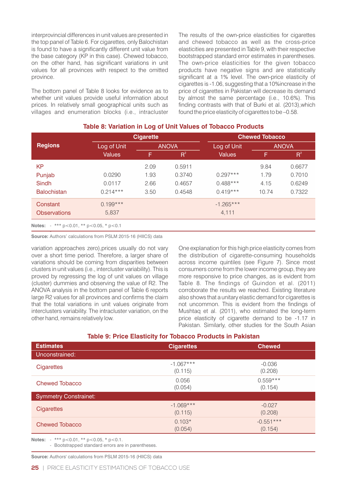interprovincial differences in unit values are presented in the top panel of Table 6. For cigarettes, only Balochistan is found to have a significantly different unit value from the base category (KP in this case). Chewed tobacco, on the other hand, has significant variations in unit values for all provinces with respect to the omitted province.

The bottom panel of Table 8 looks for evidence as to whether unit values provide useful information about prices. In relatively small geographical units such as villages and enumeration blocks (i.e., intracluster

The results of the own-price elasticities for cigarettes and chewed tobacco as well as the cross-price elasticities are presented in Table 9, with their respective bootstrapped standard error estimates in parentheses. The own-price elasticities for the given tobacco products have negative signs and are statistically significant at a 1% level. The own-price elasticity of cigarettes is -1.06, suggesting that a 10%increase in the price of cigarettes in Pakistan will decrease its demand by almost the same percentage (i.e., 10.6%). This finding contrasts with that of Burki et al. (2013), which found the price elasticity of cigarettes to be –0.58.

|                     | <b>Cigarette</b> |              |        | <b>Chewed Tobacco</b> |              |        |  |
|---------------------|------------------|--------------|--------|-----------------------|--------------|--------|--|
| <b>Regions</b>      | Log of Unit      | <b>ANOVA</b> |        | Log of Unit           | <b>ANOVA</b> |        |  |
|                     | <b>Values</b>    | F            | $R^2$  | <b>Values</b>         | F            | $R^2$  |  |
| <b>KP</b>           |                  | 2.09         | 0.5911 |                       | 9.84         | 0.6677 |  |
| Punjab              | 0.0290           | 1.93         | 0.3740 | $0.297***$            | 1.79         | 0.7010 |  |
| Sindh               | 0.0117           | 2.66         | 0.4657 | $0.488***$            | 4.15         | 0.6249 |  |
| <b>Balochistan</b>  | $0.214***$       | 3.50         | 0.4548 | $0.419***$            | 10.74        | 0.7322 |  |
| Constant            | $0.199***$       |              |        | $-1.265***$           |              |        |  |
| <b>Observations</b> | 5,837            |              |        | 4,111                 |              |        |  |

#### **Table 8: Variation in Log of Unit Values of Tobacco Products**

**Notes:** - \*\*\* p<0.01, \*\* p<0.05, \* p<0.1 -

**Source:** Authors' calculations from PSLM 2015-16 (HIICS) data

variation approaches zero),prices usually do not vary over a short time period. Therefore, a larger share of variations should be coming from disparities between clusters in unit values (i.e., intercluster variability). This is proved by regressing the log of unit values on village (cluster) dummies and observing the value of R2. The ANOVA analysis in the bottom panel of Table 6 reports large R2 values for all provinces and confirms the claim that the total variations in unit values originate from interclusters variability. The intracluster variation, on the other hand, remains relatively low.

One explanation for this high price elasticity comes from the distribution of cigarette-consuming households across income quintiles (see Figure 7). Since most consumers come from the lower income group, they are more responsive to price changes, as is evident from Table 8. The findings of Guindon et al. (2011) corroborate the results we reached. Existing literature also shows that a unitary elastic demand for cigarettes is not uncommon. This is evident from the findings of Mushtaq et al. (2011), who estimated the long-term price elasticity of cigarette demand to be -1.17 in Pakistan. Similarly, other studies for the South Asian

| <b>Estimates</b>             | <b>Cigarettes</b>      | <b>Chewed</b>          |
|------------------------------|------------------------|------------------------|
| Unconstrained:               |                        |                        |
| Cigarettes                   | $-1.067***$<br>(0.115) | $-0.036$<br>(0.208)    |
| <b>Chewed Tobacco</b>        | 0.056<br>(0.054)       | $0.559***$<br>(0.154)  |
| <b>Symmetry Constrainet:</b> |                        |                        |
| <b>Cigarettes</b>            | $-1.069***$<br>(0.115) | $-0.027$<br>(0.208)    |
| <b>Chewed Tobacco</b>        | $0.103*$<br>(0.054)    | $-0.551***$<br>(0.154) |

**Notes:** - \*\*\* p<0.01, \*\* p<0.05, \* p<0.1.

- Bootstrapped standard errors are in parentheses.

**Source:** Authors' calculations from PSLM 2015-16 (HIICS) data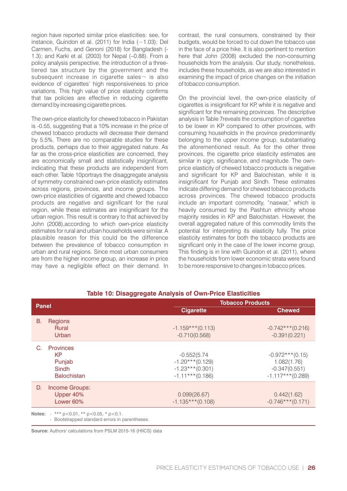region have reported similar price elasticities: see, for instance, Guindon et al. (2011) for India (−1.03); Del Carmen, Fuchs, and Genoni (2018) for Bangladesh (- 1.3); and Karki et al. (2003) for Nepal (–0.88). From a policy analysis perspective, the introduction of a threetiered tax structure by the government and the subsequent increase in cigarette sales- is also evidence of cigarettes' high responsiveness to price variations. This high value of price elasticity confirms that tax policies are effective in reducing cigarette demand by increasing cigarette prices.

The own-price elasticity for chewed tobacco in Pakistan is -0.55, suggesting that a 10% increase in the price of chewed tobacco products will decrease their demand by 5.5%. There are no comparable studies for these products, perhaps due to their aggregated nature. As far as the cross-price elasticities are concerned, they are economically small and statistically insignificant, indicating that these products are independent from each other. Table 10portrays the disaggregate analysis of symmetry constrained own-price elasticity estimates across regions, provinces, and income groups. The own-price elasticities of cigarette and chewed tobacco products are negative and significant for the rural region, while these estimates are insignificant for the urban region. This result is contrary to that achieved by John (2008),according to which own-price elasticity estimates for rural and urban households were similar. A plausible reason for this could be the difference between the prevalence of tobacco consumption in urban and rural regions. Since most urban consumers are from the higher income group, an increase in price may have a negligible effect on their demand. In

contrast, the rural consumers, constrained by their budgets, would be forced to cut down the tobacco use in the face of a price hike. It is also pertinent to mention here that John (2008) excluded the non-consuming households from the analysis. Our study, nonetheless, includes these households, as we are also interested in examining the impact of price changes on the initiation of tobacco consumption.

On the provincial level, the own-price elasticity of cigarettes is insignificant for KP, while it is negative and significant for the remaining provinces. The descriptive analysis in Table 7reveals the consumption of cigarettes to be lower in KP compared to other provinces, with consuming households in the province predominantly belonging to the upper income group, substantiating the aforementioned result. As for the other three provinces, the cigarette price elasticity estimates are similar in sign, significance, and magnitude. The ownprice elasticity of chewed tobacco products is negative and significant for KP and Balochistan, while it is insignificant for Punjab and Sindh. These estimates indicate differing demand for chewed tobacco products across provinces. The chewed tobacco products include an important commodity, "naswar," which is heavily consumed by the Pashtun ethnicity whose majority resides in KP and Balochistan. However, the overall aggregated nature of this commodity limits the potential for interpreting its elasticity fully. The price elasticity estimates for both the tobacco products are significant only in the case of the lower income group. This finding is in line with Guindon et al. (2011), where the households from lower economic strata were found to be more responsive to changes in tobacco prices.

| <b>Panel</b> |                                                                  | <b>Tobacco Products</b>                                                          |                                                                             |  |  |  |
|--------------|------------------------------------------------------------------|----------------------------------------------------------------------------------|-----------------------------------------------------------------------------|--|--|--|
|              |                                                                  | <b>Cigarette</b>                                                                 | <b>Chewed</b>                                                               |  |  |  |
| В.           | <b>Regions</b><br>Rural<br>Urban                                 | $-1.159***$ (0.113)<br>$-0.710(0.568)$                                           | $-0.742***(0.216)$<br>$-0.391(0.221)$                                       |  |  |  |
| C.           | <b>Provinces</b><br>KP<br>Punjab<br>Sindh<br><b>Balochistan</b>  | $-0.552(5.74)$<br>$-1.20***$ (0.129)<br>$-1.23***$ (0.301)<br>$-1.11***$ (0.186) | $-0.972***$ (0.15)<br>1.082(1.76)<br>$-0.347(0.551)$<br>$-1.117***$ (0.289) |  |  |  |
| D.           | <b>Income Groups:</b><br>Upper 40%<br>Lower 60%                  | 0.099(26.67)<br>$-1.135***(0.108)$                                               | 0.442(1.62)<br>$-0.746***(0.171)$                                           |  |  |  |
|              | <b>Notes:</b> $-$ *** $p < 0.01$ , ** $p < 0.05$ , * $p < 0.1$ . |                                                                                  |                                                                             |  |  |  |

#### **Table 10: Disaggregate Analysis of Own-Price Elasticities**

**Notes:** - \*\*\* p<0.01, \*\* p<0.05, \* p<0.1.

- Bootstrapped standard errors in parentheses.

**Source:** Authors' calculations from PSLM 2015-16 (HIICS) data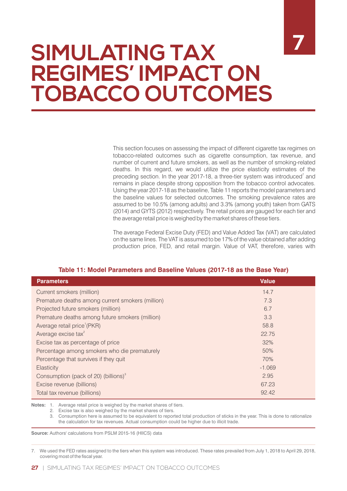# **SIMULATING TAX REGIMES' IMPACT ON TOBACCO OUTCOMES**

This section focuses on assessing the impact of different cigarette tax regimes on tobacco-related outcomes such as cigarette consumption, tax revenue, and number of current and future smokers, as well as the number of smoking-related deaths. In this regard, we would utilize the price elasticity estimates of the preceding section. In the year 2017-18, a three-tier system was introduced<sup>7</sup> and remains in place despite strong opposition from the tobacco control advocates. Using the year 2017-18 as the baseline, Table 11 reports the model parameters and the baseline values for selected outcomes. The smoking prevalence rates are assumed to be 10.5% (among adults) and 3.3% (among youth) taken from GATS (2014) and GYTS (2012) respectively. The retail prices are gauged for each tier and the average retail price is weighed by the market shares of these tiers.

The average Federal Excise Duty (FED) and Value Added Tax (VAT) are calculated on the same lines. The VAT is assumed to be 17% of the value obtained after adding production price, FED, and retail margin. Value of VAT, therefore, varies with

#### **Table 11: Model Parameters and Baseline Values (2017-18 as the Base Year)**

| <b>Parameters</b>                                | <b>Value</b> |
|--------------------------------------------------|--------------|
| Current smokers (million)                        | 14.7         |
| Premature deaths among current smokers (million) | 7.3          |
| Projected future smokers (million)               | 6.7          |
| Premature deaths among future smokers (million)  | 3.3          |
| Average retail price <sup>1</sup> (PKR)          | 58.8         |
| Average excise tax <sup>2</sup>                  | 22.75        |
| Excise tax as percentage of price                | 32%          |
| Percentage among smokers who die prematurely     | 50%          |
| Percentage that survives if they quit            | 70%          |
| Elasticity                                       | $-1.069$     |
| Consumption (pack of 20) (billions) <sup>3</sup> | 2.95         |
| Excise revenue (billions)                        | 67.23        |
| Total tax revenue (billions)                     | 92.42        |

**Notes:** 1. Average retail price is weighed by the market shares of tiers.

2. Excise tax is also weighed by the market shares of tiers.

3. Consumption here is assumed to be equivalent to reported total production of sticks in the year. This is done to rationalize the calculation for tax revenues. Actual consumption could be higher due to illicit trade.

**Source:** Authors' calculations from PSLM 2015-16 (HIICS) data

7. We used the FED rates assigned to the tiers when this system was introduced. These rates prevailed from July 1, 2018 to April 29, 2018, covering most of the fiscal year.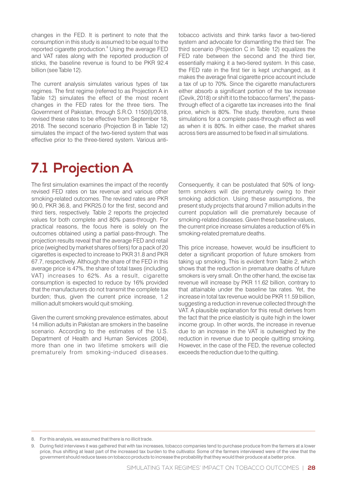changes in the FED. It is pertinent to note that the consumption in this study is assumed to be equal to the reported cigarette production.<sup>8</sup> Using the average FED and VAT rates along with the reported production of sticks, the baseline revenue is found to be PKR 92.4 billion (see Table 12).

The current analysis simulates various types of tax regimes. The first regime (referred to as Projection A in Table 12) simulates the effect of the most recent changes in the FED rates for the three tiers. The Government of Pakistan, through S.R.O. 1150(I)/2018, revised these rates to be effective from September 18, 2018. The second scenario (Projection B in Table 12) simulates the impact of the two-tiered system that was effective prior to the three-tiered system. Various antitobacco activists and think tanks favor a two-tiered system and advocate for dismantling the third tier. The third scenario (Projection C in Table 12) equalizes the FED rate between the second and the third tier, essentially making it a two-tiered system. In this case, the FED rate in the first tier is kept unchanged, as it makes the average final cigarette price account include a tax of up to 70%. Since the cigarette manufacturers either absorb a significant portion of the tax increase (Cevik, 2018) or shift it to the tobacco farmers<sup>9</sup>, the passthrough effect of a cigarette tax increases into the final price, which is 80%. The study, therefore, runs these simulations for a complete pass-through effect as well as when it is 80%. In either case, the market shares across tiers are assumed to be fixed in all simulations.

## **7.1 Projection A**

The first simulation examines the impact of the recently revised FED rates on tax revenue and various other smoking-related outcomes. The revised rates are PKR 90.0, PKR 36.8, and PKR25.0 for the first, second and third tiers, respectively. Table 2 reports the projected values for both complete and 80% pass-through. For practical reasons, the focus here is solely on the outcomes obtained using a partial pass-through. The projection results reveal that the average FED and retail price (weighed by market shares of tiers) for a pack of 20 cigarettes is expected to increase to PKR 31.8 and PKR 67.7, respectively. Although the share of the FED in this average price is 47%, the share of total taxes (including VAT) increases to 62%. As a result, cigarette consumption is expected to reduce by 16% provided that the manufacturers do not transmit the complete tax burden; thus, given the current price increase, 1.2 million adult smokers would quit smoking.

Given the current smoking prevalence estimates, about 14 million adults in Pakistan are smokers in the baseline scenario. According to the estimates of the U.S. Department of Health and Human Services (2004), more than one in two lifetime smokers will die prematurely from smoking-induced diseases.

Consequently, it can be postulated that 50% of longterm smokers will die prematurely owing to their smoking addiction. Using these assumptions, the present study projects that around 7 million adults in the current population will die prematurely because of smoking-related diseases. Given these baseline values, the current price increase simulates a reduction of 6% in smoking-related premature deaths.

This price increase, however, would be insufficient to deter a significant proportion of future smokers from taking up smoking. This is evident from Table 2, which shows that the reduction in premature deaths of future smokers is very small. On the other hand, the excise tax revenue will increase by PKR 11.62 billion, contrary to that attainable under the baseline tax rates. Yet, the increase in total tax revenue would be PKR 11.59 billion, suggesting a reduction in revenue collected through the VAT. A plausible explanation for this result derives from the fact that the price elasticity is quite high in the lower income group. In other words, the increase in revenue due to an increase in the VAT is outweighed by the reduction in revenue due to people quitting smoking. However, in the case of the FED, the revenue collected exceeds the reduction due to the quitting.

<sup>8.</sup> For this analysis, we assumed that there is no illicit trade.

<sup>9.</sup> During field interviews it was gathered that with tax increases, tobacco companies tend to purchase produce from the farmers at a lower price, thus shifting at least part of the increased tax burden to the cultivator. Some of the farmers interviewed were of the view that the government should reduce taxes on tobacco products to increase the probability that they would their produce at a better price.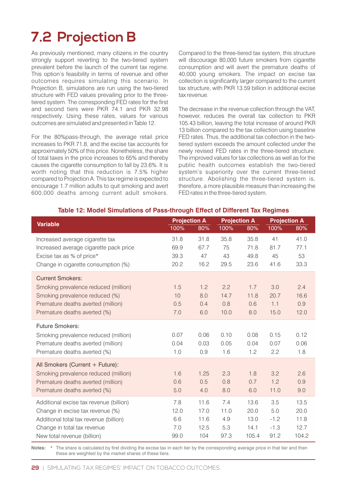## **7.2 Projection B**

As previously mentioned, many citizens in the country strongly support reverting to the two-tiered system prevalent before the launch of the current tax regime. This option's feasibility in terms of revenue and other outcomes requires simulating this scenario. In Projection B, simulations are run using the two-tiered structure with FED values prevailing prior to the threetiered system. The corresponding FED rates for the first and second tiers were PKR 74.1 and PKR 32.98 respectively. Using these rates, values for various outcomes are simulated and presented in Table 12.

For the 80%pass-through, the average retail price increases to PKR 71.8, and the excise tax accounts for approximately 50% of this price. Nonetheless, the share of total taxes in the price increases to 65% and thereby causes the cigarette consumption to fall by 23.6%. It is worth noting that this reduction is 7.5% higher compared to Projection A. This tax regime is expected to encourage 1.7 million adults to quit smoking and avert 600,000 deaths among current adult smokers.

Compared to the three-tiered tax system, this structure will discourage 80,000 future smokers from cigarette consumption and will avert the premature deaths of 40,000 young smokers. The impact on excise tax collection is significantly larger compared to the current tax structure, with PKR 13.59 billion in additional excise tax revenue.

The decrease in the revenue collection through the VAT, however, reduces the overall tax collection to PKR 105.43 billion, leaving the total increase of around PKR 13 billion compared to the tax collection using baseline FED rates. Thus, the additional tax collection in the twotiered system exceeds the amount collected under the newly revised FED rates in the three-tiered structure. The improved values for tax collections as well as for the public health outcomes establish the two-tiered system's superiority over the current three-tiered structure. Abolishing the three-tiered system is, therefore, a more plausible measure than increasing the FED rates in the three-tiered system.

| <b>14. Model Official And Office Call Ought Encor of Different fux hoghnoc</b> |      |                     |      |                     |        |                     |  |
|--------------------------------------------------------------------------------|------|---------------------|------|---------------------|--------|---------------------|--|
| <b>Variable</b>                                                                |      | <b>Projection A</b> |      | <b>Projection A</b> |        | <b>Projection A</b> |  |
|                                                                                | 100% | 80%                 | 100% | 80%                 | 100%   | 80%                 |  |
| Increased average cigarette tax                                                | 31.8 | 31.8                | 35.8 | 35.8                | 41     | 41.0                |  |
| Increased average cigarette pack price                                         | 69.9 | 67.7                | 75   | 71.8                | 81.7   | 77.1                |  |
| Excise tax as % of price*                                                      | 39.3 | 47                  | 43   | 49.8                | 45     | 53                  |  |
| Change in cigarette consumption (%)                                            | 20.2 | 16.2                | 29.5 | 23.6                | 41.6   | 33.3                |  |
| <b>Current Smokers:</b>                                                        |      |                     |      |                     |        |                     |  |
| Smoking prevalence reduced (million)                                           | 1.5  | 1.2                 | 2.2  | 1.7                 | 3.0    | 2.4                 |  |
| Smoking prevalence reduced (%)                                                 | 10   | 8.0                 | 14.7 | 11.8                | 20.7   | 16.6                |  |
| Premature deaths averted (million)                                             | 0.5  | 0.4                 | 0.8  | 0.6                 | 1.1    | 0.9                 |  |
| Premature deaths averted (%)                                                   | 7.0  | 6.0                 | 10.0 | 8.0                 | 15.0   | 12.0                |  |
| <b>Future Smokers:</b>                                                         |      |                     |      |                     |        |                     |  |
| Smoking prevalence reduced (million)                                           | 0.07 | 0.06                | 0.10 | 0.08                | 0.15   | 0.12                |  |
| Premature deaths averted (million)                                             | 0.04 | 0.03                | 0.05 | 0.04                | 0.07   | 0.06                |  |
| Premature deaths averted (%)                                                   | 1.0  | 0.9                 | 1.6  | 1.2                 | 2.2    | 1.8                 |  |
| All Smokers (Current + Future):                                                |      |                     |      |                     |        |                     |  |
| Smoking prevalence reduced (million)                                           | 1.6  | 1.25                | 2.3  | 1.8                 | 3.2    | 2.6                 |  |
| Premature deaths averted (million)                                             | 0.6  | 0.5                 | 0.8  | 0.7                 | 1.2    | 0.9                 |  |
| Premature deaths averted (%)                                                   | 5.0  | 4.0                 | 8.0  | 6.0                 | 11.0   | 9.0                 |  |
| Additional excise tax revenue (billion)                                        | 7.8  | 11.6                | 7.4  | 13.6                | 3.5    | 13.5                |  |
| Change in excise tax revenue (%)                                               | 12.0 | 17.0                | 11.0 | 20.0                | 5.0    | 20.0                |  |
| Additional total tax revenue (billion)                                         | 6.6  | 11.6                | 4.9  | 13.0                | $-1.2$ | 11.8                |  |
| Change in total tax revenue                                                    | 7.0  | 12.5                | 5.3  | 14.1                | $-1.3$ | 12.7                |  |
| New total revenue (billion)                                                    | 99.0 | 104                 | 97.3 | 105.4               | 91.2   | 104.2               |  |

#### **Table 12: Model Simulations of Pass-through Effect of Different Tax Regimes**

Notes: \* The share is calculated by first dividing the excise tax in each tier by the corresponding average price in that tier and then these are weighted by the market shares of these tiers.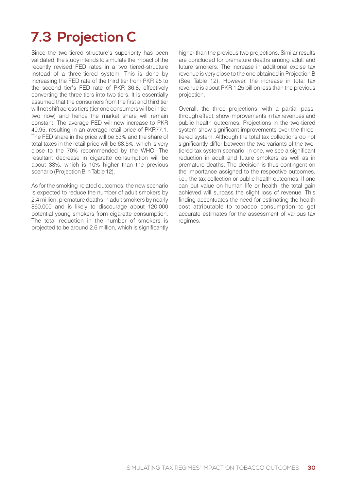## **7.3 Projection C**

Since the two-tiered structure's superiority has been validated, the study intends to simulate the impact of the recently revised FED rates in a two tiered-structure instead of a three-tiered system. This is done by increasing the FED rate of the third tier from PKR 25 to the second tier's FED rate of PKR 36.8, effectively converting the three tiers into two tiers. It is essentially assumed that the consumers from the first and third tier will not shift across tiers (tier one consumers will be in tier two now) and hence the market share will remain constant. The average FED will now increase to PKR 40.95, resulting in an average retail price of PKR77.1. The FED share in the price will be 53% and the share of total taxes in the retail price will be 68.5%, which is very close to the 70% recommended by the WHO. The resultant decrease in cigarette consumption will be about 33%, which is 10% higher than the previous scenario (Projection B in Table 12).

As for the smoking-related outcomes, the new scenario is expected to reduce the number of adult smokers by 2.4 million, premature deaths in adult smokers by nearly 860,000 and is likely to discourage about 120,000 potential young smokers from cigarette consumption. The total reduction in the number of smokers is projected to be around 2.6 million, which is significantly higher than the previous two projections. Similar results are concluded for premature deaths among adult and future smokers. The increase in additional excise tax revenue is very close to the one obtained in Projection B (See Table 12). However, the increase in total tax revenue is about PKR 1.25 billion less than the previous projection.

Overall, the three projections, with a partial passthrough effect, show improvements in tax revenues and public health outcomes. Projections in the two-tiered system show significant improvements over the threetiered system. Although the total tax collections do not significantly differ between the two variants of the twotiered tax system scenario, in one, we see a significant reduction in adult and future smokers as well as in premature deaths. The decision is thus contingent on the importance assigned to the respective outcomes, i.e., the tax collection or public health outcomes. If one can put value on human life or health, the total gain achieved will surpass the slight loss of revenue. This finding accentuates the need for estimating the health cost attributable to tobacco consumption to get accurate estimates for the assessment of various tax regimes.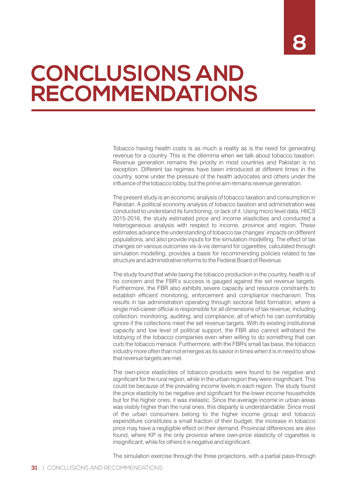# **CONCLUSIONS AND RECOMMENDATIONS**

Tobacco having health costs is as much a reality as is the need for generating revenue for a country. This is the dilemma when we talk about tobacco taxation. Revenue generation remains the priority in most countries and Pakistan is no exception. Different tax regimes have been introduced at different times in the country, some under the pressure of the health advocates and others under the influence of the tobacco lobby, but the prime aim remains revenue generation.

The present study is an economic analysis of tobacco taxation and consumption in Pakistan. A political economy analysis of tobacco taxation and administration was conducted to understand its functioning, or lack of it. Using micro level data, HIICS 2015-2016, the study estimated price and income elasticities and conducted a heterogeneous analysis with respect to income, province and region. These estimates advance the understanding of tobacco tax changes' impacts on different populations, and also provide inputs for the simulation modelling. The effect of tax changes on various outcomes vis-à-vis demand for cigarettes, calculated through simulation modelling, provides a basis for recommending policies related to tax structure and administrative reforms to the Federal Board of Revenue.

The study found that while taxing the tobacco production in the country, health is of no concern and the FBR's success is gauged against the set revenue targets. Furthermore, the FBR also exhibits severe capacity and resource constraints to establish efficient monitoring, enforcement and compliance mechanism. This results in tax administration operating through sectoral field formation, where a single mid-career official is responsible for all dimensions of tax revenue, including collection, monitoring, auditing, and compliance, all of which he can comfortably ignore if the collections meet the set revenue targets. With its existing institutional capacity and low level of political support, the FBR also cannot withstand the lobbying of the tobacco companies even when willing to do something that can curb the tobacco menace. Furthermore, with the FBR's small tax base, the tobacco industry more often than not emerges as its savior in times when it is in need to show that revenue targets are met.

The own-price elasticities of tobacco products were found to be negative and significant for the rural region, while in the urban region they were insignificant. This could be because of the prevailing income levels in each region. The study found the price elasticity to be negative and significant for the lower income households but for the higher ones, it was inelastic. Since the average income in urban areas was visibly higher than the rural ones, this disparity is understandable. Since most of the urban consumers belong to the higher income group and tobacco expenditure constitutes a small fraction of their budget, the increase in tobacco price may have a negligible effect on their demand. Provincial differences are also found, where KP is the only province where own-price elasticity of cigarettes is insignificant, while for others it is negative and significant.

The simulation exercise through the three projections, with a partial pass-through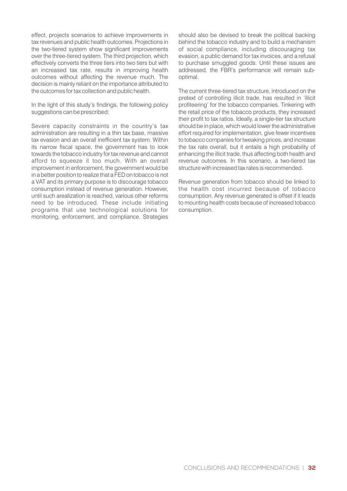effect, projects scenarios to achieve improvements in tax revenues and public health outcomes. Projections in the two-tiered system show significant improvements over the three-tiered system. The third projection, which effectively converts the three tiers into two tiers but with an increased tax rate, results in improving health outcomes without affecting the revenue much. The decision is mainly reliant on the importance attributed to the outcomes for tax collection and public health.

In the light of this study's findings, the following policy suggestions can be prescribed:

Severe capacity constraints in the country's tax administration are resulting in a thin tax base, massive tax evasion and an overall inefficient tax system. Within its narrow fiscal space, the government has to look towards the tobacco industry for tax revenue and cannot afford to squeeze it too much. With an overall improvement in enforcement, the government would be in a better position to realize that a FED on tobacco is not a VAT and its primary purpose is to discourage tobacco consumption instead of revenue generation. However, until such arealization is reached, various other reforms need to be introduced. These include initiating programs that use technological solutions for monitoring, enforcement, and compliance. Strategies

should also be devised to break the political backing behind the tobacco industry and to build a mechanism of social compliance, including discouraging tax evasion, a public demand for tax invoices, and a refusal to purchase smuggled goods. Until these issues are addressed, the FBR's performance will remain suboptimal.

The current three-tiered tax structure, introduced on the pretext of controlling illicit trade, has resulted in 'illicit profiteering' for the tobacco companies. Tinkering with the retail price of the tobacco products, they increased their profit to tax ratios. Ideally, a single-tier tax structure should be in place, which would lower the administrative effort required for implementation, give fewer incentives to tobacco companies for tweaking prices, and increase the tax rate overall, but it entails a high probability of enhancing the illicit trade, thus affecting both health and revenue outcomes. In this scenario, a two-tiered tax structure with increased tax rates is recommended.

Revenue generation from tobacco should be linked to the health cost incurred because of tobacco consumption. Any revenue generated is offset if it leads to mounting health costs because of increased tobacco consumption.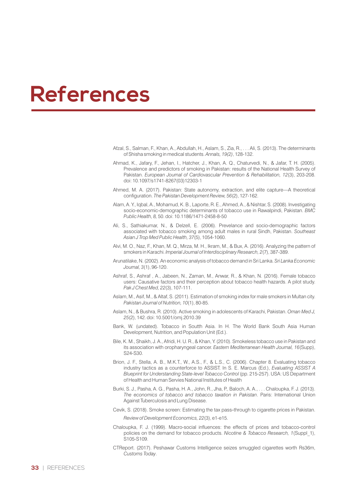## **References**

- Afzal, S., Salman, F., Khan, A., Abdullah, H., Aslam, S., Zia, R., . . . Ali, S. (2013). The determinants of Shisha smoking in medical students. *Annals, 19(2)*, 128-132.
- Ahmad, K., Jafary, F., Jehan, I., Hatcher, J., Khan, A. Q., Chaturvedi, N., & Jafar, T. H. (2005). Prevalence and predictors of smoking in Pakistan: results of the National Health Survey of Pakistan. *European Journal of Cardiovascular Prevention & Rehabilitation, 12*(3), 203-208. doi: 10.1097/s1741-8267(03)12303-1
- Ahmed, M. A. (2017). Pakistan: State autonomy, extraction, and elite capture—A theoretical configuration. *The Pakistan Development Review, 56(2)*, 127-162.
- Alam, A. Y., Iqbal, A., Mohamud, K. B., Laporte, R. E., Ahmed, A., & Nishtar, S. (2008). Investigating socio-economic-demographic determinants of tobacco use in Rawalpindi, Pakistan. *BMC Public Health, 8,* 50. doi: 10.1186/1471-2458-8-50
- Ali, S., Sathiakumar, N., & Delzell, E. (2006). Prevelance and socio-demographic factors associated with tobacco smoking among adult males in rural Sindh, Pakistan. *Southeast Asian J Trop Med Public Health, 37*(5), 1054-1060.
- Alvi, M. O., Naz, F., Khan, M. Q., Mirza, M. H., Ikram, M., & Bux, A. (2016). Analyzing the pattern of smokers in Karachi. *Imperial Journal of Interdisciplinary Research, 2*(7), 387-389.
- Arunatilake, N. (2002). An economic analysis of tobacco demand in Sri Lanka. *Sri Lanka Economic Journal, 3*(1), 96-120.
- Ashraf, S., Ashraf , A., Jabeen, N., Zaman, M., Anwar, R., & Khan, N. (2016). Female tobacco users: Causative factors and their perception about tobacco health hazards. A pilot study. *Pak J Chest Med, 22*(3), 107-111.
- Aslam, M., Asif, M., & Altaf, S. (2011). Estimation of smoking index for male smokers in Multan city. *Pakistan Journal of Nutrition, 10*(1), 80-85.
- Aslam, N., & Bushra, R. (2010). Active smoking in adolescents of Karachi, Pakistan. *Oman Med J, 25*(2), 142. doi: 10.5001/omj.2010.39
- Bank, W. (undated). Tobacco in Soutth Asia. In H. The World Bank South Asia Human Development, Nutrition, and Population Unit (Ed.).
- Bile, K. M., Shaikh, J. A., Afridi, H. U. R., & Khan, Y. (2010). Smokeless tobacco use in Pakistan and its association with oropharyngeal cancer. *Eastern Mediterranean Health Journal, 16*(Supp), S24-S30.
- Brion, J. F., Stella, A. B., M.K.T., W., A.S., F., & L.S., C. (2006). Chapter 8. Evaluating tobacco industry tactics as a counterforce to ASSIST. In S. E. Marcus (Ed.), *Evaluating ASSIST A Blueprint for Understanding State-level Tobacco Control* (pp. 215-257). USA: US Department of Health and Human Servies National Institutes of Health
- Burki, S. J., Pasha, A. G., Pasha, H. A., John, R., Jha, P., Baloch, A. A., . . . Chaloupka, F. J. (2013). *The economics of tobacco and tobacco taxation in Pakistan*. Paris: International Union Against Tuberculosis and Lung Disease.
- Cevik, S. (2018). Smoke screen: Estimating the tax pass**‐**through to cigarette prices in Pakistan. *Review of Development Economics, 22*(3), e1-e15.
- Chaloupka, F. J. (1999). Macro-social influences: the effects of prices and tobacco-control policies on the demand for tobacco products. *Nicotine & Tobacco Research, 1*(Suppl\_1), S105-S109.
- CTReport. (2017). Peshawar Customs Intelligence seizes smuggled cigarettes worth Rs36m, *Customs Today*.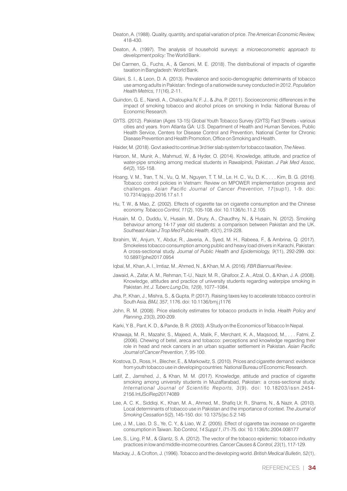- Deaton, A. (1988). Quality, quantity, and spatial variation of price. *The American Economic Review,* 418-430.
- Deaton, A. (1997). The analysis of household surveys: *a microeconometric approach to development policy:* The World Bank.
- Del Carmen, G., Fuchs, A., & Genoni, M. E. (2018). The distributional of impacts of cigarette taxation in Bangladesh: World Bank.
- Gilani, S. I., & Leon, D. A. (2013). Prevalence and socio-demographic determinants of tobacco use among adults in Pakistan: findings of a nationwide survey conducted in 2012. *Population Health Metrics, 11*(16), 2-11.
- Guindon, G. E., Nandi, A., Chaloupka IV, F. J., & Jha, P. (2011). Socioeconomic differences in the impact of smoking tobacco and alcohol prices on smoking in India: National Bureau of Economic Research.
- GYTS. (2012). Pakistan (Ages 13-15) Global Youth Tobacco Survey (GYTS) Fact Sheets various cities and years. from Atlanta GA: U.S. Department of Health and Human Services, Public Health Service, Centers for Disease Control and Prevention, National Center for Chronic Disease Prevention and Health Promotion, Office on Smoking and Health.
- Haider, M. (2018). Govt asked to continue 3rd tier slab system for tobacco taxation, *The News*.
- Haroon, M., Munir, A., Mahmud, W., & Hyder, O. (2014). Knowledge, attitude, and practice of water-pipe smoking among medical students in Rawalpindi, Pakistan. *J Pak Med Assoc, 64*(2), 155-158.
- Hoang, V. M., Tran, T. N., Vu, Q. M., Nguyen, T. T. M., Le, H. C., Vu, D. K., . . . Kim, B. G. (2016). Tobacco control policies in Vietnam: Review on MPOWER implementation progress and challenges. *Asian Pacic Journal of Cancer Prevention, 17*(sup1), 1-9. doi: 10.7314/apjcp.2016.17.s1.1
- Hu, T. W., & Mao, Z. (2002). Effects of cigarette tax on cigarette consumption and the Chinese economy. *Tobacco Control, 11*(2), 105-108. doi: 10.1136/tc.11.2.105
- Husain, M. O., Duddu, V., Husain, M., Drury, A., Chaudhry, N., & Husain, N. (2012). Smoking behaviour among 14-17 year old students: a comparison between Pakistan and the UK. *Southeast Asian J Trop Med Public Health, 43*(1), 219-228.
- Ibrahim, W., Anjum, Y., Abdur, R., Javeria, A., Syed, M. H., Rabeea, F., & Ambrina, Q. (2017). Smokeless tobacco consumption among public and heavy load drivers in Karachi, Pakistan: A cross-sectional study. *Journal of Public Health and Epidemiology, 9*(11), 292-299. doi: 10.5897/jphe2017.0954
- Iqbal, M., Khan, A. I., Imtiaz, M., Ahmed, N., & Khan, M. A. (2016). *FBR Biannual Review*.
- Jawaid, A., Zafar, A. M., Rehman, T.-U., Nazir, M. R., Ghafoor, Z. A., Afzal, O., & Khan, J. A. (2008). Knowledge, attitudes and practice of university students regarding waterpipe smoking in Pakistan. *Int. J. Tuberc Lung Dis, 12*(9), 1077–1084.
- Jha, P., Khan, J., Mishra, S., & Gupta, P. (2017). Raising taxes key to accelerate tobacco control in South Asia. *BMJ, 357,* 1176. doi: 10.1136/bmj.j1176
- John, R. M. (2008). Price elasticity estimates for tobacco products in India. *Health Policy and Planning, 23*(3), 200-209.
- Karki, Y. B., Pant, K. D., & Pande, B. R. (2003). A Study on the Economics of Tobacco In Nepal.
- Khawaja, M. R., Mazahir, S., Majeed, A., Malik, F., Merchant, K. A., Maqsood, M., . . . Fatmi, Z. (2006). Chewing of betel, areca and tobacco: perceptions and knowledge regarding their role in head and neck cancers in an urban squatter settlement in Pakistan. *Asian Pacic Journal of Cancer Prevention, 7,* 95-100.
- Kostova, D., Ross, H., Blecher, E., & Markowitz, S. (2010). Prices and cigarette demand: evidence from youth tobacco use in developing countries: National Bureau of Economic Research.
- Latif, Z., Jamshed, J., & Khan, M. M. (2017). Knowledge, attitude and practice of cigarette smoking among university students in Muzaffarabad, Pakistan: a cross-sectional study. *International Journal of Scientic Reports, 3*(9). doi: 10.18203/issn.2454- 2156.IntJSciRep20174089
- Lee, A. C. K., Siddiqi, K., Khan, M. A., Ahmed, M., Shafiq Ur, R., Shams, N., & Nazir, A. (2010). Local determinants of tobacco use in Pakistan and the importance of context. *The Journal of Smoking Cessation 5*(2), 145-150. doi: 10.1375/jsc.5.2.145
- Lee, J. M., Liao, D. S., Ye, C. Y., & Liao, W. Z. (2005). Effect of cigarette tax increase on cigarette consumption in Taiwan. *Tob Control, 14 Suppl 1*, i71-75. doi: 10.1136/tc.2004.008177
- Lee, S., Ling, P. M., & Glantz, S. A. (2012). The vector of the tobacco epidemic: tobacco industry practices in low and middle-income countries. *Cancer Causes & Control, 23*(1), 117-129.

Mackay, J., & Crofton, J. (1996). Tobacco and the developing world. *British Medical Bulletin, 52*(1),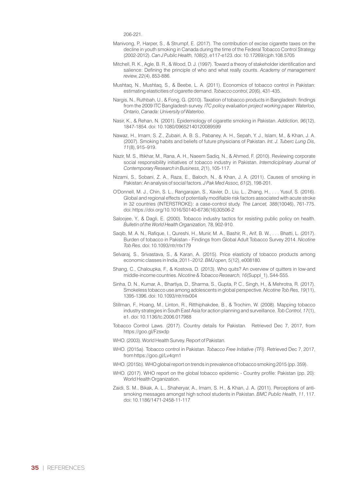206-221.

- Manivong, P., Harper, S., & Strumpf, E. (2017). The contribution of excise cigarette taxes on the decline in youth smoking in Canada during the time of the Federal Tobacco Control Strategy (2002-2012). *Can J Public Health, 108(2)*, e117-e123. doi: 10.17269/cjph.108.5705
- Mitchell, R. K., Agle, B. R., & Wood, D. J. (1997). Toward a theory of stakeholder identification and salience: Defining the principle of who and what really counts. *Academy of management review, 22*(4), 853-886.
- Mushtaq, N., Mushtaq, S., & Beebe, L. A. (2011). Economics of tobacco control in Pakistan: estimating elasticities of cigarette demand. *Tobacco control, 20*(6), 431-435.
- Nargis, N., Ruthbah, U., & Fong, G. (2010). Taxation of tobacco products in Bangladesh: findings from the 2009 ITC Bangladesh survey. *ITC policy evaluation project working paper. Waterloo, Ontario, Canada: University of Waterloo.*
- Nasir, K., & Rehan, N. (2001). Epidemiology of cigarette smoking in Pakistan. *Addiction, 96*(12), 1847-1854. doi: 10.1080/09652140120089599
- Nawaz, H., Imam, S. Z., Zubairi, A. B. S., Pabaney, A. H., Sepah, Y. J., Islam, M., & Khan, J. A. (2007). Smoking habits and beliefs of future physicians of Pakistan. *Int. J. Tuberc Lung Dis, 11*(8), 915–919.
- Nazir, M. S., Iftikhar, M., Rana, A. H., Naeem Sadiq, N., & Ahmed, F. (2010). Reviewing corporate social responsibility initiatives of tobacco industry in Pakistan. *Interndiciplinary Journal of Contemporary Research in Business, 2*(1), 105-117.
- Nizami, S., Sobani, Z. A., Raza, E., Baloch, N., & Khan, J. A. (2011). Causes of smoking in Pakistan: An analysis of social factors. *J Pak Med Assoc, 61*(2), 198-201.
- O'Donnell, M. J., Chin, S. L., Rangarajan, S., Xavier, D., Liu, L., Zhang, H., . . . Yusuf, S. (2016). Global and regional effects of potentially modifiable risk factors associated with acute stroke in 32 countries (INTERSTROKE): a case-control study. *The Lancet, 388*(10046), 761-775. doi: https://doi.org/10.1016/S0140-6736(16)30506-2
- Saloojee, Y., & Dagli, E. (2000). Tobacco industry tactics for resisting public policy on health. *Bulletin of the World Health Organization,* 78, 902-910.
- Saqib, M. A. N., Rafique, I., Qureshi, H., Munir, M. A., Bashir, R., Arif, B. W., ... Bhatti, L. (2017). Burden of tobacco in Pakistan - Findings from Global Adult Tobacco Survey 2014. *Nicotine Tob Res.* doi: 10.1093/ntr/ntx179
- Selvaraj, S., Srivastava, S., & Karan, A. (2015). Price elasticity of tobacco products among economic classes in India, 2011–2012. *BMJ open, 5*(12), e008180.
- Shang, C., Chaloupka, F., & Kostova, D. (2013). Who quits? An overview of quitters in low-and middle-income countries. *Nicotine & Tobacco Research, 16*(Suppl\_1), S44-S55.
- Sinha, D. N., Kumar, A., Bhartiya, D., Sharma, S., Gupta, P. C., Singh, H., & Mehrotra, R. (2017). Smokeless tobacco use among adolescents in global perspective. *Nicotine Tob Res, 19*(11), 1395-1396. doi: 10.1093/ntr/ntx004
- Stillman, F., Hoang, M., Linton, R., Ritthiphakdee, B., & Trochim, W. (2008). Mapping tobacco industry strategies in South East Asia for action planning and surveillance. *Tob Control, 17*(1), e1. doi: 10.1136/tc.2006.017988
- Tobacco Control Laws. (2017). Country details for Pakistan. Retrieved Dec 7, 2017, from https://goo.gl/Fzsxdp
- WHO. (2003). World Health Survey. Report of Pakistan.
- WHO. (2015a). Tobacco control in Pakistan. *Tobacco Free Initiative (TFI)*. Retrieved Dec 7, 2017, from https://goo.gl/Lv4qm1
- WHO. (2015b). WHO global report on trends in prevalence of tobacco smoking 2015 (pp. 359).
- WHO. (2017). WHO report on the global tobacco epidemic Country profile: Pakistan (pp. 20): World Health Organization.
- Zaidi, S. M., Bikak, A. L., Shaheryar, A., Imam, S. H., & Khan, J. A. (2011). Perceptions of antismoking messages amongst high school students in Pakistan. *BMC Public Health, 11*, 117. doi: 10.1186/1471-2458-11-117